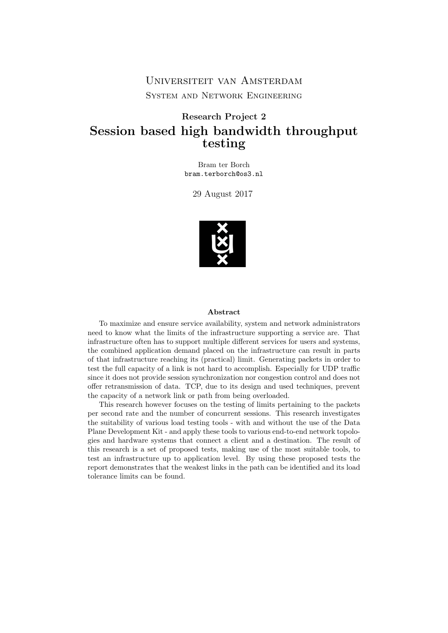Universiteit van Amsterdam System and Network Engineering

#### Research Project 2 Session based high bandwidth throughput testing

Bram ter Borch bram.terborch@os3.nl

29 August 2017



#### Abstract

To maximize and ensure service availability, system and network administrators need to know what the limits of the infrastructure supporting a service are. That infrastructure often has to support multiple different services for users and systems, the combined application demand placed on the infrastructure can result in parts of that infrastructure reaching its (practical) limit. Generating packets in order to test the full capacity of a link is not hard to accomplish. Especially for UDP traffic since it does not provide session synchronization nor congestion control and does not offer retransmission of data. TCP, due to its design and used techniques, prevent the capacity of a network link or path from being overloaded.

This research however focuses on the testing of limits pertaining to the packets per second rate and the number of concurrent sessions. This research investigates the suitability of various load testing tools - with and without the use of the Data Plane Development Kit - and apply these tools to various end-to-end network topologies and hardware systems that connect a client and a destination. The result of this research is a set of proposed tests, making use of the most suitable tools, to test an infrastructure up to application level. By using these proposed tests the report demonstrates that the weakest links in the path can be identified and its load tolerance limits can be found.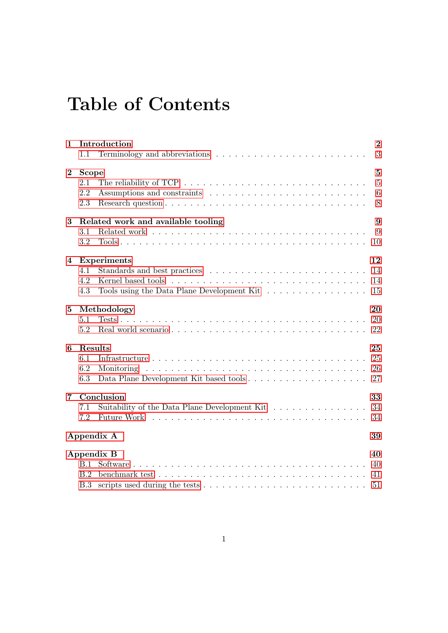## Table of Contents

| 1              | 1.1                               | Introduction                                                                                                       | $\overline{2}$<br>3                      |
|----------------|-----------------------------------|--------------------------------------------------------------------------------------------------------------------|------------------------------------------|
| $\bf{2}$       | <b>Scope</b><br>2.1<br>2.2<br>2.3 | The reliability of TCP $\ldots \ldots \ldots \ldots \ldots \ldots \ldots \ldots \ldots \ldots$                     | $\mathbf{5}$<br>$\overline{5}$<br>6<br>8 |
| 3              | 3.1<br>3.2                        | Related work and available tooling                                                                                 | 9<br>9<br>10                             |
| 4              | 4.1<br>4.2<br>4.3                 | <b>Experiments</b><br>Tools using the Data Plane Development Kit                                                   | 12<br>14<br>14<br>15                     |
| $\bf{5}$       | 5.1<br>5.2                        | Methodology                                                                                                        | 20<br>20<br>22                           |
| 6              | Results<br>6.1<br>6.2<br>6.3      | Monitoring                                                                                                         | 25<br>25<br>26<br>27                     |
| $\overline{7}$ | 7.1<br>7.2                        | Conclusion<br>Suitability of the Data Plane Development Kit $\dots \dots \dots \dots \dots$<br>Future Work         | 33<br>34<br>34                           |
|                |                                   | Appendix A                                                                                                         | 39                                       |
|                | B.1<br>B.2<br>B.3                 | <b>Appendix B</b><br>benchmark test $\ldots \ldots \ldots \ldots \ldots \ldots \ldots \ldots \ldots \ldots \ldots$ | 40<br>40<br>41<br>51                     |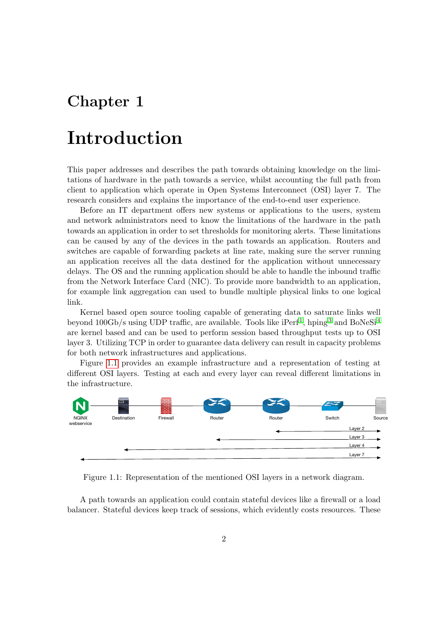## <span id="page-2-0"></span>Chapter 1

## Introduction

This paper addresses and describes the path towards obtaining knowledge on the limitations of hardware in the path towards a service, whilst accounting the full path from client to application which operate in Open Systems Interconnect (OSI) layer 7. The research considers and explains the importance of the end-to-end user experience.

Before an IT department offers new systems or applications to the users, system and network administrators need to know the limitations of the hardware in the path towards an application in order to set thresholds for monitoring alerts. These limitations can be caused by any of the devices in the path towards an application. Routers and switches are capable of forwarding packets at line rate, making sure the server running an application receives all the data destined for the application without unnecessary delays. The OS and the running application should be able to handle the inbound traffic from the Network Interface Card (NIC). To provide more bandwidth to an application, for example link aggregation can used to bundle multiple physical links to one logical link.

Kernel based open source tooling capable of generating data to saturate links well beyond  $100\text{Gb/s}$  $100\text{Gb/s}$  using UDP traffic, are available. Tools like iPerf<sup>1</sup>, hping<sup>[3](#page-36-1)</sup> and BoNeSi<sup>[4](#page-36-2)</sup> are kernel based and can be used to perform session based throughput tests up to OSI layer 3. Utilizing TCP in order to guarantee data delivery can result in capacity problems for both network infrastructures and applications.

Figure [1.1](#page-2-1) provides an example infrastructure and a representation of testing at different OSI layers. Testing at each and every layer can reveal different limitations in the infrastructure.

<span id="page-2-1"></span>

Figure 1.1: Representation of the mentioned OSI layers in a network diagram.

A path towards an application could contain stateful devices like a firewall or a load balancer. Stateful devices keep track of sessions, which evidently costs resources. These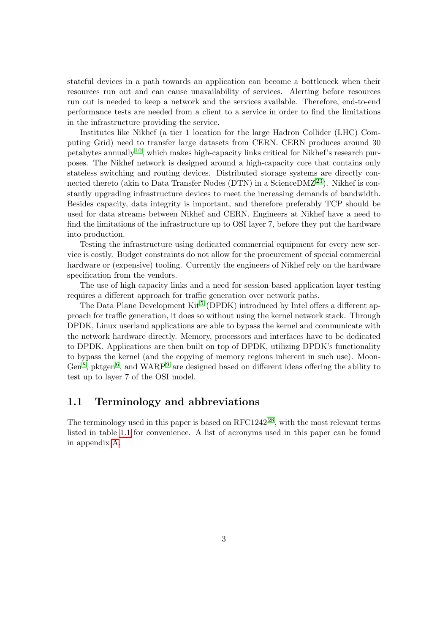stateful devices in a path towards an application can become a bottleneck when their resources run out and can cause unavailability of services. Alerting before resources run out is needed to keep a network and the services available. Therefore, end-to-end performance tests are needed from a client to a service in order to find the limitations in the infrastructure providing the service.

Institutes like Nikhef (a tier 1 location for the large Hadron Collider (LHC) Computing Grid) need to transfer large datasets from CERN. CERN produces around 30 petabytes annually  $10$ , which makes high-capacity links critical for Nikhef's research purposes. The Nikhef network is designed around a high-capacity core that contains only stateless switching and routing devices. Distributed storage systems are directly con-nected thereto (akin to Data Transfer Nodes (DTN) in a Science DMZ<sup>[23](#page-37-0)</sup>). Nikhef is constantly upgrading infrastructure devices to meet the increasing demands of bandwidth. Besides capacity, data integrity is important, and therefore preferably TCP should be used for data streams between Nikhef and CERN. Engineers at Nikhef have a need to find the limitations of the infrastructure up to OSI layer 7, before they put the hardware into production.

Testing the infrastructure using dedicated commercial equipment for every new service is costly. Budget constraints do not allow for the procurement of special commercial hardware or (expensive) tooling. Currently the engineers of Nikhef rely on the hardware specification from the vendors.

The use of high capacity links and a need for session based application layer testing requires a different approach for traffic generation over network paths.

The Data Plane Development Kit<sup>[5](#page-36-4)</sup> (DPDK) introduced by Intel offers a different approach for traffic generation, it does so without using the kernel network stack. Through DPDK, Linux userland applications are able to bypass the kernel and communicate with the network hardware directly. Memory, processors and interfaces have to be dedicated to DPDK. Applications are then built on top of DPDK, utilizing DPDK's functionality to bypass the kernel (and the copying of memory regions inherent in such use). Moon-Gen<sup>[8](#page-36-5)</sup>, pktgen<sup>[6](#page-36-6)</sup>, and WARP<sup>[9](#page-36-7)</sup> are designed based on different ideas offering the ability to test up to layer 7 of the OSI model.

#### <span id="page-3-0"></span>1.1 Terminology and abbreviations

The terminology used in this paper is based on  $RFC1242^{28}$  $RFC1242^{28}$  $RFC1242^{28}$ , with the most relevant terms listed in table [1.1](#page-4-0) for convenience. A list of acronyms used in this paper can be found in appendix [A.](#page-39-0)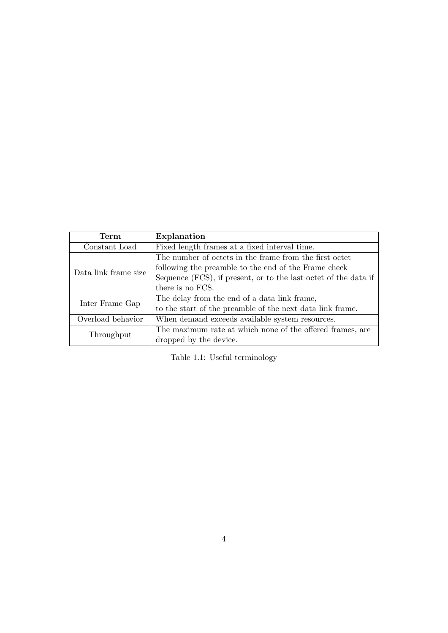<span id="page-4-0"></span>

| Term                 | Explanation                                                     |
|----------------------|-----------------------------------------------------------------|
| Constant Load        | Fixed length frames at a fixed interval time.                   |
|                      | The number of octets in the frame from the first octet          |
| Data link frame size | following the preamble to the end of the Frame check            |
|                      | Sequence (FCS), if present, or to the last octet of the data if |
|                      | there is no FCS.                                                |
| Inter Frame Gap      | The delay from the end of a data link frame,                    |
|                      | to the start of the preamble of the next data link frame.       |
| Overload behavior    | When demand exceeds available system resources.                 |
|                      | The maximum rate at which none of the offered frames, are       |
| Throughput           | dropped by the device.                                          |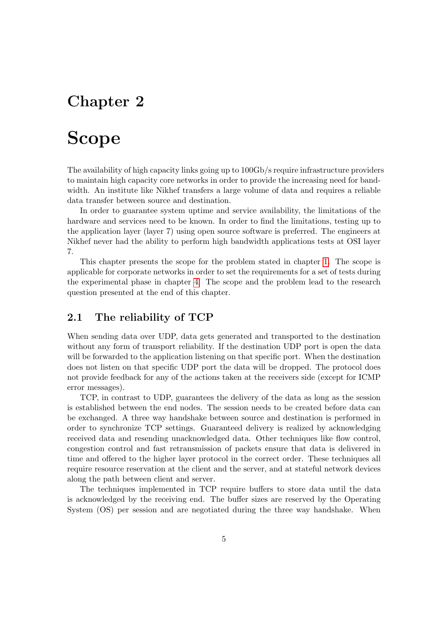## <span id="page-5-0"></span>Chapter 2

## Scope

The availability of high capacity links going up to 100Gb/s require infrastructure providers to maintain high capacity core networks in order to provide the increasing need for bandwidth. An institute like Nikhef transfers a large volume of data and requires a reliable data transfer between source and destination.

In order to guarantee system uptime and service availability, the limitations of the hardware and services need to be known. In order to find the limitations, testing up to the application layer (layer 7) using open source software is preferred. The engineers at Nikhef never had the ability to perform high bandwidth applications tests at OSI layer 7.

This chapter presents the scope for the problem stated in chapter [1.](#page-2-0) The scope is applicable for corporate networks in order to set the requirements for a set of tests during the experimental phase in chapter [4.](#page-12-0) The scope and the problem lead to the research question presented at the end of this chapter.

#### <span id="page-5-1"></span>2.1 The reliability of TCP

When sending data over UDP, data gets generated and transported to the destination without any form of transport reliability. If the destination UDP port is open the data will be forwarded to the application listening on that specific port. When the destination does not listen on that specific UDP port the data will be dropped. The protocol does not provide feedback for any of the actions taken at the receivers side (except for ICMP error messages).

TCP, in contrast to UDP, guarantees the delivery of the data as long as the session is established between the end nodes. The session needs to be created before data can be exchanged. A three way handshake between source and destination is performed in order to synchronize TCP settings. Guaranteed delivery is realized by acknowledging received data and resending unacknowledged data. Other techniques like flow control, congestion control and fast retransmission of packets ensure that data is delivered in time and offered to the higher layer protocol in the correct order. These techniques all require resource reservation at the client and the server, and at stateful network devices along the path between client and server.

The techniques implemented in TCP require buffers to store data until the data is acknowledged by the receiving end. The buffer sizes are reserved by the Operating System (OS) per session and are negotiated during the three way handshake. When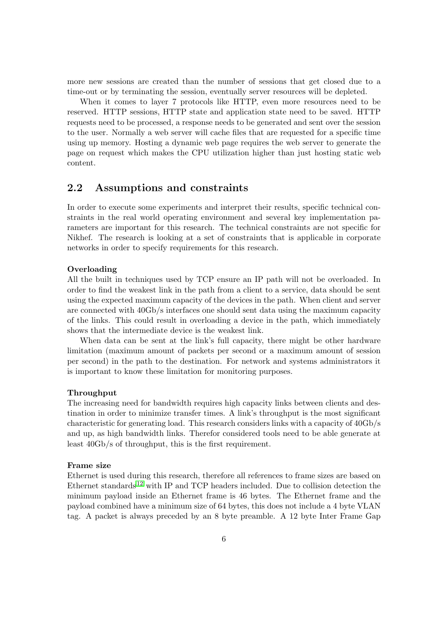more new sessions are created than the number of sessions that get closed due to a time-out or by terminating the session, eventually server resources will be depleted.

When it comes to layer 7 protocols like HTTP, even more resources need to be reserved. HTTP sessions, HTTP state and application state need to be saved. HTTP requests need to be processed, a response needs to be generated and sent over the session to the user. Normally a web server will cache files that are requested for a specific time using up memory. Hosting a dynamic web page requires the web server to generate the page on request which makes the CPU utilization higher than just hosting static web content.

#### <span id="page-6-0"></span>2.2 Assumptions and constraints

In order to execute some experiments and interpret their results, specific technical constraints in the real world operating environment and several key implementation parameters are important for this research. The technical constraints are not specific for Nikhef. The research is looking at a set of constraints that is applicable in corporate networks in order to specify requirements for this research.

#### **Overloading**

All the built in techniques used by TCP ensure an IP path will not be overloaded. In order to find the weakest link in the path from a client to a service, data should be sent using the expected maximum capacity of the devices in the path. When client and server are connected with 40Gb/s interfaces one should sent data using the maximum capacity of the links. This could result in overloading a device in the path, which immediately shows that the intermediate device is the weakest link.

When data can be sent at the link's full capacity, there might be other hardware limitation (maximum amount of packets per second or a maximum amount of session per second) in the path to the destination. For network and systems administrators it is important to know these limitation for monitoring purposes.

#### Throughput

The increasing need for bandwidth requires high capacity links between clients and destination in order to minimize transfer times. A link's throughput is the most significant characteristic for generating load. This research considers links with a capacity of 40Gb/s and up, as high bandwidth links. Therefor considered tools need to be able generate at least 40Gb/s of throughput, this is the first requirement.

#### Frame size

Ethernet is used during this research, therefore all references to frame sizes are based on Ethernet standards<sup>[12](#page-36-8)</sup> with IP and TCP headers included. Due to collision detection the minimum payload inside an Ethernet frame is 46 bytes. The Ethernet frame and the payload combined have a minimum size of 64 bytes, this does not include a 4 byte VLAN tag. A packet is always preceded by an 8 byte preamble. A 12 byte Inter Frame Gap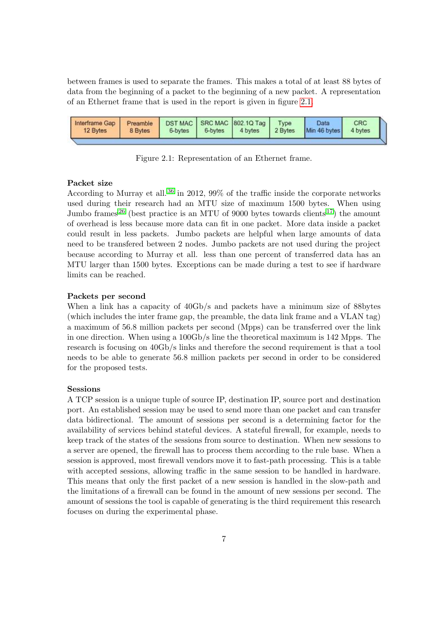between frames is used to separate the frames. This makes a total of at least 88 bytes of data from the beginning of a packet to the beginning of a new packet. A representation of an Ethernet frame that is used in the report is given in figure [2.1.](#page-7-0)

<span id="page-7-0"></span>

Figure 2.1: Representation of an Ethernet frame.

#### Packet size

According to Murray et all.<sup>[36](#page-38-0)</sup> in 2012, 99% of the traffic inside the corporate networks used during their research had an MTU size of maximum 1500 bytes. When using Jumbo frames<sup>[26](#page-37-2)</sup> (best practice is an MTU of 9000 bytes towards clients<sup>[17](#page-37-3)</sup>) the amount of overhead is less because more data can fit in one packet. More data inside a packet could result in less packets. Jumbo packets are helpful when large amounts of data need to be transfered between 2 nodes. Jumbo packets are not used during the project because according to Murray et all. less than one percent of transferred data has an MTU larger than 1500 bytes. Exceptions can be made during a test to see if hardware limits can be reached.

#### Packets per second

When a link has a capacity of 40Gb/s and packets have a minimum size of 88bytes (which includes the inter frame gap, the preamble, the data link frame and a VLAN tag) a maximum of 56.8 million packets per second (Mpps) can be transferred over the link in one direction. When using a 100Gb/s line the theoretical maximum is 142 Mpps. The research is focusing on 40Gb/s links and therefore the second requirement is that a tool needs to be able to generate 56.8 million packets per second in order to be considered for the proposed tests.

#### Sessions

A TCP session is a unique tuple of source IP, destination IP, source port and destination port. An established session may be used to send more than one packet and can transfer data bidirectional. The amount of sessions per second is a determining factor for the availability of services behind stateful devices. A stateful firewall, for example, needs to keep track of the states of the sessions from source to destination. When new sessions to a server are opened, the firewall has to process them according to the rule base. When a session is approved, most firewall vendors move it to fast-path processing. This is a table with accepted sessions, allowing traffic in the same session to be handled in hardware. This means that only the first packet of a new session is handled in the slow-path and the limitations of a firewall can be found in the amount of new sessions per second. The amount of sessions the tool is capable of generating is the third requirement this research focuses on during the experimental phase.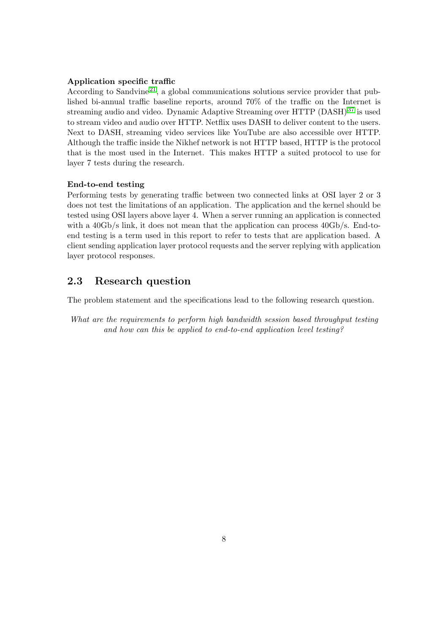#### Application specific traffic

According to Sandvine<sup>[21](#page-37-4)</sup>, a global communications solutions service provider that published bi-annual traffic baseline reports, around 70% of the traffic on the Internet is streaming audio and video. Dynamic Adaptive Streaming over HTTP (DASH) [37](#page-38-1) is used to stream video and audio over HTTP. Netflix uses DASH to deliver content to the users. Next to DASH, streaming video services like YouTube are also accessible over HTTP. Although the traffic inside the Nikhef network is not HTTP based, HTTP is the protocol that is the most used in the Internet. This makes HTTP a suited protocol to use for layer 7 tests during the research.

#### End-to-end testing

Performing tests by generating traffic between two connected links at OSI layer 2 or 3 does not test the limitations of an application. The application and the kernel should be tested using OSI layers above layer 4. When a server running an application is connected with a 40Gb/s link, it does not mean that the application can process 40Gb/s. End-toend testing is a term used in this report to refer to tests that are application based. A client sending application layer protocol requests and the server replying with application layer protocol responses.

#### <span id="page-8-0"></span>2.3 Research question

The problem statement and the specifications lead to the following research question.

What are the requirements to perform high bandwidth session based throughput testing and how can this be applied to end-to-end application level testing?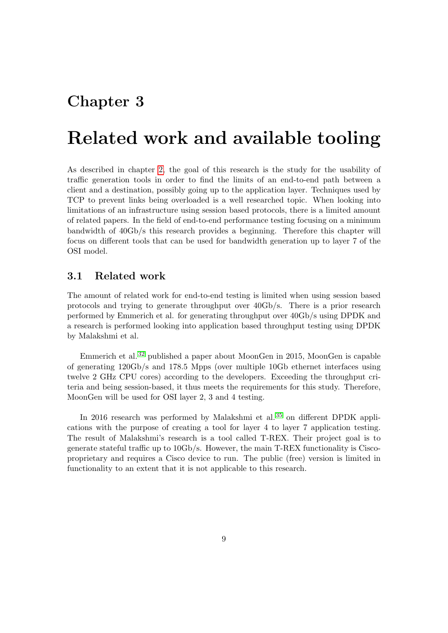### <span id="page-9-0"></span>Chapter 3

## Related work and available tooling

As described in chapter [2,](#page-5-0) the goal of this research is the study for the usability of traffic generation tools in order to find the limits of an end-to-end path between a client and a destination, possibly going up to the application layer. Techniques used by TCP to prevent links being overloaded is a well researched topic. When looking into limitations of an infrastructure using session based protocols, there is a limited amount of related papers. In the field of end-to-end performance testing focusing on a minimum bandwidth of 40Gb/s this research provides a beginning. Therefore this chapter will focus on different tools that can be used for bandwidth generation up to layer 7 of the OSI model.

#### <span id="page-9-1"></span>3.1 Related work

The amount of related work for end-to-end testing is limited when using session based protocols and trying to generate throughput over 40Gb/s. There is a prior research performed by Emmerich et al. for generating throughput over 40Gb/s using DPDK and a research is performed looking into application based throughput testing using DPDK by Malakshmi et al.

Emmerich et al. [32](#page-38-2) published a paper about MoonGen in 2015, MoonGen is capable of generating 120Gb/s and 178.5 Mpps (over multiple 10Gb ethernet interfaces using twelve 2 GHz CPU cores) according to the developers. Exceeding the throughput criteria and being session-based, it thus meets the requirements for this study. Therefore, MoonGen will be used for OSI layer 2, 3 and 4 testing.

<span id="page-9-2"></span>In 2016 research was performed by Malakshmi et al.<sup>[35](#page-38-3)</sup> on different DPDK applications with the purpose of creating a tool for layer 4 to layer 7 application testing. The result of Malakshmi's research is a tool called T-REX. Their project goal is to generate stateful traffic up to 10Gb/s. However, the main T-REX functionality is Ciscoproprietary and requires a Cisco device to run. The public (free) version is limited in functionality to an extent that it is not applicable to this research.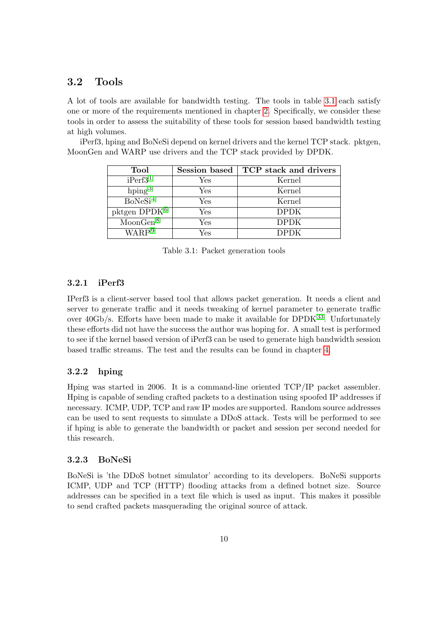#### 3.2 Tools

A lot of tools are available for bandwidth testing. The tools in table [3.1](#page-10-0) each satisfy one or more of the requirements mentioned in chapter [2.](#page-5-0) Specifically, we consider these tools in order to assess the suitability of these tools for session based bandwidth testing at high volumes.

<span id="page-10-0"></span>iPerf3, hping and BoNeSi depend on kernel drivers and the kernel TCP stack. pktgen, MoonGen and WARP use drivers and the TCP stack provided by DPDK.

| <b>Tool</b>          | Session based | TCP stack and drivers |
|----------------------|---------------|-----------------------|
| iPerf3 <sup>1</sup>  | Yes           | Kernel                |
| hping <sup>3</sup>   | Yes           | Kernel                |
| BoNeSi <sup>4</sup>  | Yes           | Kernel                |
| pktgen $DPDK^6$      | Yes           | <b>DPDK</b>           |
| MoonGen <sup>8</sup> | Yes           | <b>DPDK</b>           |
| WARP <sup>9</sup>    | Yes           | DPDK.                 |

Table 3.1: Packet generation tools

#### 3.2.1 iPerf3

IPerf3 is a client-server based tool that allows packet generation. It needs a client and server to generate traffic and it needs tweaking of kernel parameter to generate traffic over  $40Gb/s$ . Efforts have been made to make it available for DPDK<sup>[33](#page-38-4)</sup>. Unfortunately these efforts did not have the success the author was hoping for. A small test is performed to see if the kernel based version of iPerf3 can be used to generate high bandwidth session based traffic streams. The test and the results can be found in chapter [4.](#page-12-0)

#### 3.2.2 hping

Hping was started in 2006. It is a command-line oriented TCP/IP packet assembler. Hping is capable of sending crafted packets to a destination using spoofed IP addresses if necessary. ICMP, UDP, TCP and raw IP modes are supported. Random source addresses can be used to sent requests to simulate a DDoS attack. Tests will be performed to see if hping is able to generate the bandwidth or packet and session per second needed for this research.

#### 3.2.3 BoNeSi

BoNeSi is 'the DDoS botnet simulator' according to its developers. BoNeSi supports ICMP, UDP and TCP (HTTP) flooding attacks from a defined botnet size. Source addresses can be specified in a text file which is used as input. This makes it possible to send crafted packets masquerading the original source of attack.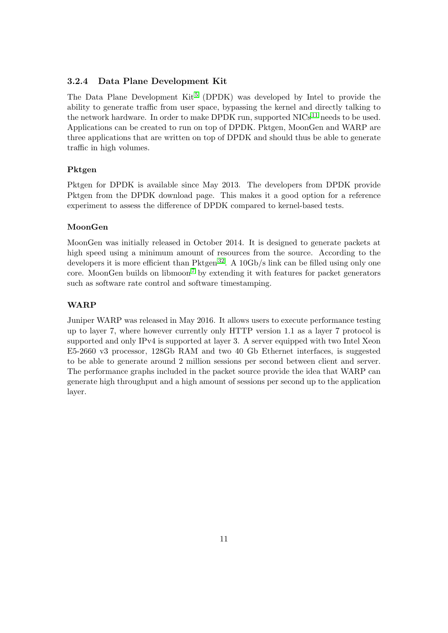#### 3.2.4 Data Plane Development Kit

The Data Plane Development  $\text{Kit}^5$  $\text{Kit}^5$  (DPDK) was developed by Intel to provide the ability to generate traffic from user space, bypassing the kernel and directly talking to the network hardware. In order to make DPDK run, supported  $NICs<sup>11</sup>$  $NICs<sup>11</sup>$  $NICs<sup>11</sup>$  needs to be used. Applications can be created to run on top of DPDK. Pktgen, MoonGen and WARP are three applications that are written on top of DPDK and should thus be able to generate traffic in high volumes.

#### Pktgen

Pktgen for DPDK is available since May 2013. The developers from DPDK provide Pktgen from the DPDK download page. This makes it a good option for a reference experiment to assess the difference of DPDK compared to kernel-based tests.

#### MoonGen

MoonGen was initially released in October 2014. It is designed to generate packets at high speed using a minimum amount of resources from the source. According to the developers it is more efficient than  $P$ ktgen<sup>[32](#page-38-2)</sup>. A 10Gb/s link can be filled using only one core. MoonGen builds on libmoon<sup>[7](#page-36-10)</sup> by extending it with features for packet generators such as software rate control and software timestamping.

#### WARP

Juniper WARP was released in May 2016. It allows users to execute performance testing up to layer 7, where however currently only HTTP version 1.1 as a layer 7 protocol is supported and only IPv4 is supported at layer 3. A server equipped with two Intel Xeon E5-2660 v3 processor, 128Gb RAM and two 40 Gb Ethernet interfaces, is suggested to be able to generate around 2 million sessions per second between client and server. The performance graphs included in the packet source provide the idea that WARP can generate high throughput and a high amount of sessions per second up to the application layer.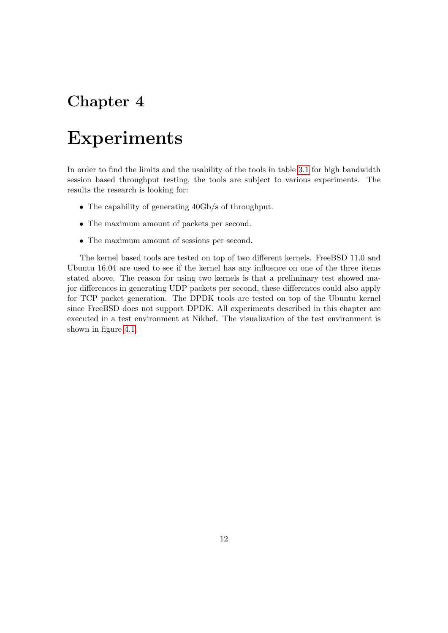## <span id="page-12-0"></span>Chapter 4

## Experiments

In order to find the limits and the usability of the tools in table [3.1](#page-10-0) for high bandwidth session based throughput testing, the tools are subject to various experiments. The results the research is looking for:

- The capability of generating  $40Gb/s$  of throughput.
- The maximum amount of packets per second.
- The maximum amount of sessions per second.

The kernel based tools are tested on top of two different kernels. FreeBSD 11.0 and Ubuntu 16.04 are used to see if the kernel has any influence on one of the three items stated above. The reason for using two kernels is that a preliminary test showed major differences in generating UDP packets per second, these differences could also apply for TCP packet generation. The DPDK tools are tested on top of the Ubuntu kernel since FreeBSD does not support DPDK. All experiments described in this chapter are executed in a test environment at Nikhef. The visualization of the test environment is shown in figure [4.1.](#page-13-0)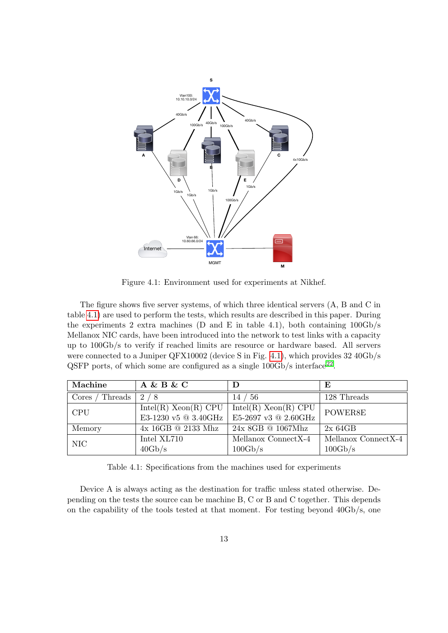<span id="page-13-0"></span>

Figure 4.1: Environment used for experiments at Nikhef.

The figure shows five server systems, of which three identical servers (A, B and C in table [4.1\)](#page-13-1) are used to perform the tests, which results are described in this paper. During the experiments 2 extra machines (D and E in table 4.1), both containing  $100\text{Gb/s}$ Mellanox NIC cards, have been introduced into the network to test links with a capacity up to 100Gb/s to verify if reached limits are resource or hardware based. All servers were connected to a Juniper QFX10002 (device S in Fig. [4.1\)](#page-13-0), which provides 32 40Gb/s QSFP ports, of which some are configured as a single  $100\text{Gb/s}$  interface<sup>[22](#page-37-5)</sup>.

<span id="page-13-1"></span>

| Machine          | $A \& B \& C$             |                           | E                   |
|------------------|---------------------------|---------------------------|---------------------|
| Threads<br>Cores | 2/8                       | 14 / 56                   | 128 Threads         |
| <b>CPU</b>       | $Intel(R)$ Xeon $(R)$ CPU | $Intel(R)$ Xeon $(R)$ CPU | POWER8E             |
|                  | E3-1230 v5 @ 3.40GHz      | E5-2697 v3 @ 2.60GHz      |                     |
| Memory           | $4x$ 16GB $@$ 2133 Mhz    | $24x$ 8GB @ 1067Mhz       | 2x64GB              |
| NIC              | Intel XL710               | Mellanox ConnectX-4       | Mellanox ConnectX-4 |
|                  | 40Gb/s                    | 100Gb/s                   | 100Gb/s             |

Table 4.1: Specifications from the machines used for experiments

Device A is always acting as the destination for traffic unless stated otherwise. Depending on the tests the source can be machine B, C or B and C together. This depends on the capability of the tools tested at that moment. For testing beyond 40Gb/s, one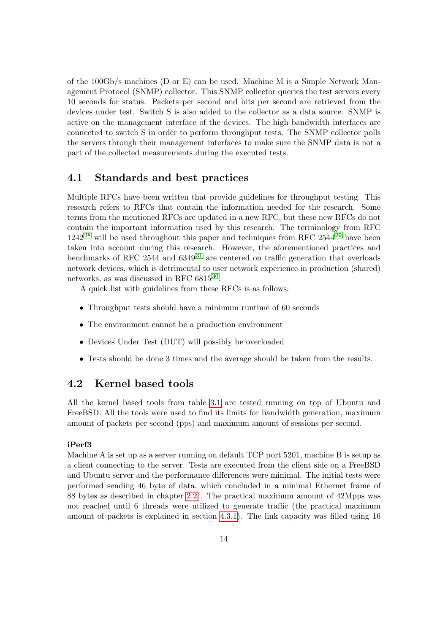of the 100Gb/s machines (D or E) can be used. Machine M is a Simple Network Management Protocol (SNMP) collector. This SNMP collector queries the test servers every 10 seconds for status. Packets per second and bits per second are retrieved from the devices under test. Switch S is also added to the collector as a data source. SNMP is active on the management interface of the devices. The high bandwidth interfaces are connected to switch S in order to perform throughput tests. The SNMP collector polls the servers through their management interfaces to make sure the SNMP data is not a part of the collected measurements during the executed tests.

#### <span id="page-14-0"></span>4.1 Standards and best practices

Multiple RFCs have been written that provide guidelines for throughput testing. This research refers to RFCs that contain the information needed for the research. Some terms from the mentioned RFCs are updated in a new RFC, but these new RFCs do not contain the important information used by this research. The terminology from RFC  $1242^{28}$  $1242^{28}$  $1242^{28}$  will be used throughout this paper and techniques from RFC 2544<sup>[29](#page-37-6)</sup> have been taken into account during this research. However, the aforementioned practices and benchmarks of RFC 2544 and  $6349^{31}$  $6349^{31}$  $6349^{31}$  are centered on traffic generation that overloads network devices, which is detrimental to user network experience in production (shared) networks, as was discussed in RFC  $6815^{30}$  $6815^{30}$  $6815^{30}$ .

A quick list with guidelines from these RFCs is as follows:

- Throughput tests should have a minimum runtime of 60 seconds
- The environment cannot be a production environment
- Devices Under Test (DUT) will possibly be overloaded
- Tests should be done 3 times and the average should be taken from the results.

#### <span id="page-14-1"></span>4.2 Kernel based tools

All the kernel based tools from table [3.1](#page-10-0) are tested running on top of Ubuntu and FreeBSD. All the tools were used to find its limits for bandwidth generation, maximum amount of packets per second (pps) and maximum amount of sessions per second.

#### iPerf3

Machine A is set up as a server running on default TCP port 5201, machine B is setup as a client connecting to the server. Tests are executed from the client side on a FreeBSD and Ubuntu server and the performance differences were minimal. The initial tests were performed sending 46 byte of data, which concluded in a minimal Ethernet frame of 88 bytes as described in chapter [2.2](#page-6-0) . The practical maximum amount of 42Mpps was not reached until 6 threads were utilized to generate traffic (the practical maximum amount of packets is explained in section [4.3.1\)](#page-15-1). The link capacity was filled using 16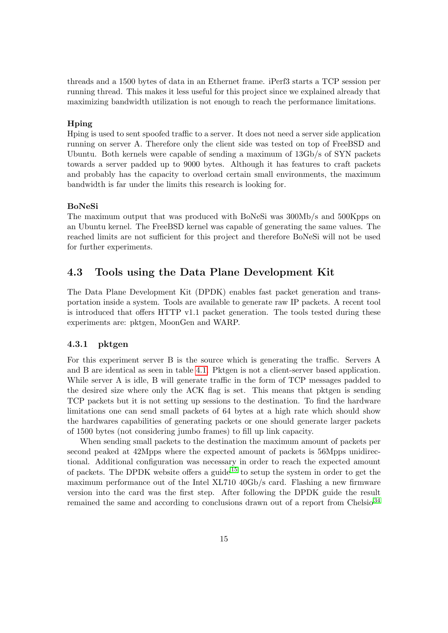threads and a 1500 bytes of data in an Ethernet frame. iPerf3 starts a TCP session per running thread. This makes it less useful for this project since we explained already that maximizing bandwidth utilization is not enough to reach the performance limitations.

#### Hping

Hping is used to sent spoofed traffic to a server. It does not need a server side application running on server A. Therefore only the client side was tested on top of FreeBSD and Ubuntu. Both kernels were capable of sending a maximum of 13Gb/s of SYN packets towards a server padded up to 9000 bytes. Although it has features to craft packets and probably has the capacity to overload certain small environments, the maximum bandwidth is far under the limits this research is looking for.

#### BoNeSi

The maximum output that was produced with BoNeSi was 300Mb/s and 500Kpps on an Ubuntu kernel. The FreeBSD kernel was capable of generating the same values. The reached limits are not sufficient for this project and therefore BoNeSi will not be used for further experiments.

#### <span id="page-15-0"></span>4.3 Tools using the Data Plane Development Kit

The Data Plane Development Kit (DPDK) enables fast packet generation and transportation inside a system. Tools are available to generate raw IP packets. A recent tool is introduced that offers HTTP v1.1 packet generation. The tools tested during these experiments are: pktgen, MoonGen and WARP.

#### <span id="page-15-1"></span>4.3.1 pktgen

For this experiment server B is the source which is generating the traffic. Servers A and B are identical as seen in table [4.1.](#page-13-1) Pktgen is not a client-server based application. While server A is idle, B will generate traffic in the form of TCP messages padded to the desired size where only the ACK flag is set. This means that pktgen is sending TCP packets but it is not setting up sessions to the destination. To find the hardware limitations one can send small packets of 64 bytes at a high rate which should show the hardwares capabilities of generating packets or one should generate larger packets of 1500 bytes (not considering jumbo frames) to fill up link capacity.

When sending small packets to the destination the maximum amount of packets per second peaked at 42Mpps where the expected amount of packets is 56Mpps unidirectional. Additional configuration was necessary in order to reach the expected amount of packets. The DPDK website offers a guide<sup>[15](#page-36-11)</sup> to setup the system in order to get the maximum performance out of the Intel XL710 40Gb/s card. Flashing a new firmware version into the card was the first step. After following the DPDK guide the result remained the same and according to conclusions drawn out of a report from Chelsio  $34$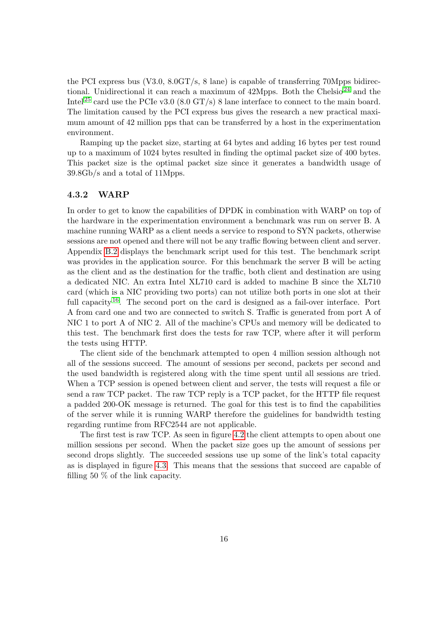the PCI express bus (V3.0, 8.0GT/s, 8 lane) is capable of transferring 70Mpps bidirectional. Unidirectional it can reach a maximum of  $42Mpps$ . Both the Chelsio<sup>[24](#page-37-8)</sup> and the Intel<sup>[25](#page-37-9)</sup> card use the PCIe v3.0 (8.0 GT/s) 8 lane interface to connect to the main board. The limitation caused by the PCI express bus gives the research a new practical maximum amount of 42 million pps that can be transferred by a host in the experimentation environment.

Ramping up the packet size, starting at 64 bytes and adding 16 bytes per test round up to a maximum of 1024 bytes resulted in finding the optimal packet size of 400 bytes. This packet size is the optimal packet size since it generates a bandwidth usage of 39.8Gb/s and a total of 11Mpps.

#### 4.3.2 WARP

In order to get to know the capabilities of DPDK in combination with WARP on top of the hardware in the experimentation environment a benchmark was run on server B. A machine running WARP as a client needs a service to respond to SYN packets, otherwise sessions are not opened and there will not be any traffic flowing between client and server. Appendix [B.2](#page-41-0) displays the benchmark script used for this test. The benchmark script was provides in the application source. For this benchmark the server B will be acting as the client and as the destination for the traffic, both client and destination are using a dedicated NIC. An extra Intel XL710 card is added to machine B since the XL710 card (which is a NIC providing two ports) can not utilize both ports in one slot at their full capacity  $16$ . The second port on the card is designed as a fail-over interface. Port A from card one and two are connected to switch S. Traffic is generated from port A of NIC 1 to port A of NIC 2. All of the machine's CPUs and memory will be dedicated to this test. The benchmark first does the tests for raw TCP, where after it will perform the tests using HTTP.

The client side of the benchmark attempted to open 4 million session although not all of the sessions succeed. The amount of sessions per second, packets per second and the used bandwidth is registered along with the time spent until all sessions are tried. When a TCP session is opened between client and server, the tests will request a file or send a raw TCP packet. The raw TCP reply is a TCP packet, for the HTTP file request a padded 200-OK message is returned. The goal for this test is to find the capabilities of the server while it is running WARP therefore the guidelines for bandwidth testing regarding runtime from RFC2544 are not applicable.

The first test is raw TCP. As seen in figure [4.2](#page-17-0) the client attempts to open about one million sessions per second. When the packet size goes up the amount of sessions per second drops slightly. The succeeded sessions use up some of the link's total capacity as is displayed in figure [4.3.](#page-17-1) This means that the sessions that succeed are capable of filling 50 % of the link capacity.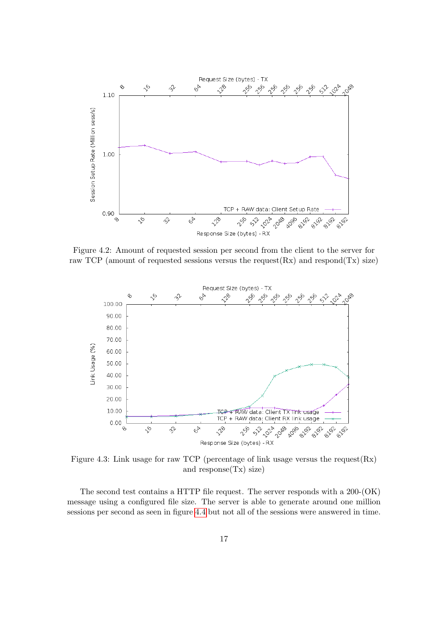<span id="page-17-0"></span>

Figure 4.2: Amount of requested session per second from the client to the server for raw TCP (amount of requested sessions versus the request $(Rx)$  and respond $(Tx)$  size)

<span id="page-17-1"></span>

Figure 4.3: Link usage for raw TCP (percentage of link usage versus the request  $(Rx)$ ) and response(Tx) size)

The second test contains a HTTP file request. The server responds with a 200-(OK) message using a configured file size. The server is able to generate around one million sessions per second as seen in figure [4.4](#page-18-0) but not all of the sessions were answered in time.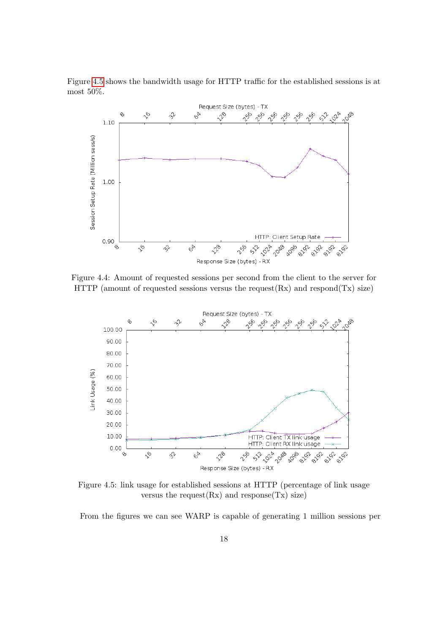Figure [4.5](#page-18-1) shows the bandwidth usage for HTTP traffic for the established sessions is at most 50%.

<span id="page-18-0"></span>

Figure 4.4: Amount of requested sessions per second from the client to the server for HTTP (amount of requested sessions versus the request $(Rx)$  and respond $(Tx)$  size)

<span id="page-18-1"></span>

Figure 4.5: link usage for established sessions at HTTP (percentage of link usage versus the request $(Rx)$  and response $(Tx)$  size)

From the figures we can see WARP is capable of generating 1 million sessions per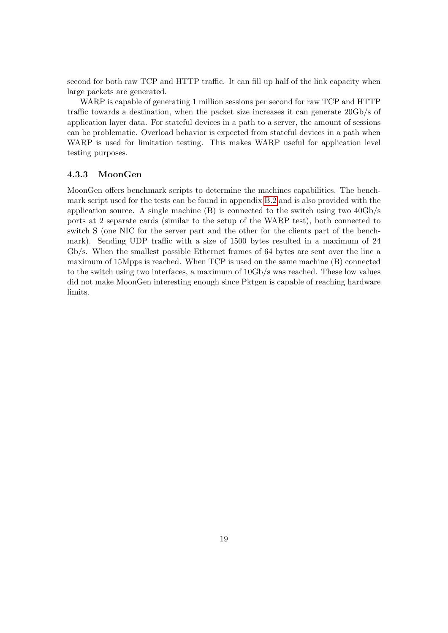second for both raw TCP and HTTP traffic. It can fill up half of the link capacity when large packets are generated.

WARP is capable of generating 1 million sessions per second for raw TCP and HTTP traffic towards a destination, when the packet size increases it can generate 20Gb/s of application layer data. For stateful devices in a path to a server, the amount of sessions can be problematic. Overload behavior is expected from stateful devices in a path when WARP is used for limitation testing. This makes WARP useful for application level testing purposes.

#### 4.3.3 MoonGen

MoonGen offers benchmark scripts to determine the machines capabilities. The benchmark script used for the tests can be found in appendix [B.2](#page-41-0) and is also provided with the application source. A single machine  $(B)$  is connected to the switch using two  $40Gb/s$ ports at 2 separate cards (similar to the setup of the WARP test), both connected to switch S (one NIC for the server part and the other for the clients part of the benchmark). Sending UDP traffic with a size of 1500 bytes resulted in a maximum of 24 Gb/s. When the smallest possible Ethernet frames of 64 bytes are sent over the line a maximum of 15Mpps is reached. When TCP is used on the same machine (B) connected to the switch using two interfaces, a maximum of 10Gb/s was reached. These low values did not make MoonGen interesting enough since Pktgen is capable of reaching hardware limits.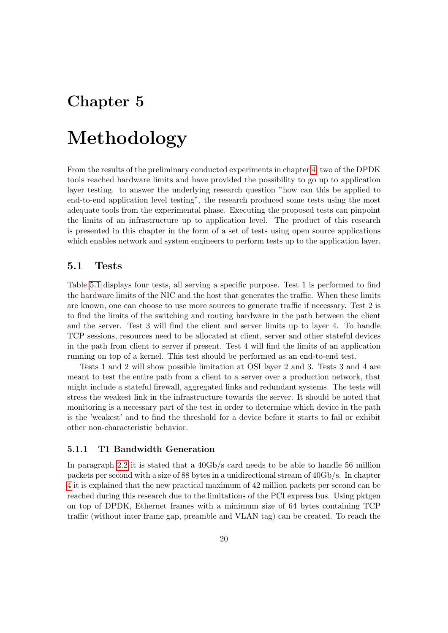## <span id="page-20-0"></span>Chapter 5

## Methodology

From the results of the preliminary conducted experiments in chapter [4,](#page-12-0) two of the DPDK tools reached hardware limits and have provided the possibility to go up to application layer testing. to answer the underlying research question "how can this be applied to end-to-end application level testing", the research produced some tests using the most adequate tools from the experimental phase. Executing the proposed tests can pinpoint the limits of an infrastructure up to application level. The product of this research is presented in this chapter in the form of a set of tests using open source applications which enables network and system engineers to perform tests up to the application layer.

#### <span id="page-20-1"></span>5.1 Tests

Table [5.1](#page-21-0) displays four tests, all serving a specific purpose. Test 1 is performed to find the hardware limits of the NIC and the host that generates the traffic. When these limits are known, one can choose to use more sources to generate traffic if necessary. Test 2 is to find the limits of the switching and routing hardware in the path between the client and the server. Test 3 will find the client and server limits up to layer 4. To handle TCP sessions, resources need to be allocated at client, server and other stateful devices in the path from client to server if present. Test 4 will find the limits of an application running on top of a kernel. This test should be performed as an end-to-end test.

Tests 1 and 2 will show possible limitation at OSI layer 2 and 3. Tests 3 and 4 are meant to test the entire path from a client to a server over a production network, that might include a stateful firewall, aggregated links and redundant systems. The tests will stress the weakest link in the infrastructure towards the server. It should be noted that monitoring is a necessary part of the test in order to determine which device in the path is the 'weakest' and to find the threshold for a device before it starts to fail or exhibit other non-characteristic behavior.

#### 5.1.1 T1 Bandwidth Generation

In paragraph [2.2](#page-7-0) it is stated that a 40Gb/s card needs to be able to handle 56 million packets per second with a size of 88 bytes in a unidirectional stream of 40Gb/s. In chapter [4](#page-12-0) it is explained that the new practical maximum of 42 million packets per second can be reached during this research due to the limitations of the PCI express bus. Using pktgen on top of DPDK, Ethernet frames with a minimum size of 64 bytes containing TCP traffic (without inter frame gap, preamble and VLAN tag) can be created. To reach the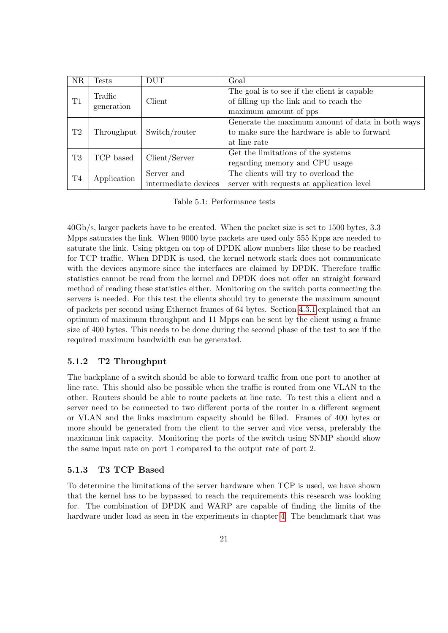<span id="page-21-0"></span>

| <b>NR</b>      | Tests                 | <b>DUT</b>                         | Goal                                                                                                             |
|----------------|-----------------------|------------------------------------|------------------------------------------------------------------------------------------------------------------|
| T1             | Traffic<br>generation | Client                             | The goal is to see if the client is capable<br>of filling up the link and to reach the<br>maximum amount of pps  |
| T2             | Throughput            | Switch/router                      | Generate the maximum amount of data in both ways<br>to make sure the hardware is able to forward<br>at line rate |
| T <sub>3</sub> | TCP based             | Client/Server                      | Get the limitations of the systems<br>regarding memory and CPU usage                                             |
| T <sub>4</sub> | Application           | Server and<br>intermediate devices | The clients will try to overload the<br>server with requests at application level                                |

Table 5.1: Performance tests

40Gb/s, larger packets have to be created. When the packet size is set to 1500 bytes, 3.3 Mpps saturates the link. When 9000 byte packets are used only 555 Kpps are needed to saturate the link. Using pktgen on top of DPDK allow numbers like these to be reached for TCP traffic. When DPDK is used, the kernel network stack does not communicate with the devices anymore since the interfaces are claimed by DPDK. Therefore traffic statistics cannot be read from the kernel and DPDK does not offer an straight forward method of reading these statistics either. Monitoring on the switch ports connecting the servers is needed. For this test the clients should try to generate the maximum amount of packets per second using Ethernet frames of 64 bytes. Section [4.3.1](#page-15-1) explained that an optimum of maximum throughput and 11 Mpps can be sent by the client using a frame size of 400 bytes. This needs to be done during the second phase of the test to see if the required maximum bandwidth can be generated.

#### 5.1.2 T2 Throughput

The backplane of a switch should be able to forward traffic from one port to another at line rate. This should also be possible when the traffic is routed from one VLAN to the other. Routers should be able to route packets at line rate. To test this a client and a server need to be connected to two different ports of the router in a different segment or VLAN and the links maximum capacity should be filled. Frames of 400 bytes or more should be generated from the client to the server and vice versa, preferably the maximum link capacity. Monitoring the ports of the switch using SNMP should show the same input rate on port 1 compared to the output rate of port 2.

#### 5.1.3 T3 TCP Based

To determine the limitations of the server hardware when TCP is used, we have shown that the kernel has to be bypassed to reach the requirements this research was looking for. The combination of DPDK and WARP are capable of finding the limits of the hardware under load as seen in the experiments in chapter [4.](#page-12-0) The benchmark that was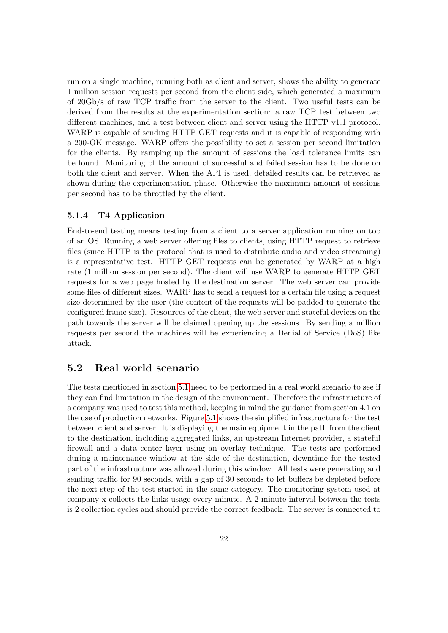run on a single machine, running both as client and server, shows the ability to generate 1 million session requests per second from the client side, which generated a maximum of 20Gb/s of raw TCP traffic from the server to the client. Two useful tests can be derived from the results at the experimentation section: a raw TCP test between two different machines, and a test between client and server using the HTTP v1.1 protocol. WARP is capable of sending HTTP GET requests and it is capable of responding with a 200-OK message. WARP offers the possibility to set a session per second limitation for the clients. By ramping up the amount of sessions the load tolerance limits can be found. Monitoring of the amount of successful and failed session has to be done on both the client and server. When the API is used, detailed results can be retrieved as shown during the experimentation phase. Otherwise the maximum amount of sessions per second has to be throttled by the client.

#### 5.1.4 T4 Application

End-to-end testing means testing from a client to a server application running on top of an OS. Running a web server offering files to clients, using HTTP request to retrieve files (since HTTP is the protocol that is used to distribute audio and video streaming) is a representative test. HTTP GET requests can be generated by WARP at a high rate (1 million session per second). The client will use WARP to generate HTTP GET requests for a web page hosted by the destination server. The web server can provide some files of different sizes. WARP has to send a request for a certain file using a request size determined by the user (the content of the requests will be padded to generate the configured frame size). Resources of the client, the web server and stateful devices on the path towards the server will be claimed opening up the sessions. By sending a million requests per second the machines will be experiencing a Denial of Service (DoS) like attack.

#### <span id="page-22-0"></span>5.2 Real world scenario

The tests mentioned in section [5.1](#page-20-1) need to be performed in a real world scenario to see if they can find limitation in the design of the environment. Therefore the infrastructure of a company was used to test this method, keeping in mind the guidance from section 4.1 on the use of production networks. Figure [5.1](#page-23-0) shows the simplified infrastructure for the test between client and server. It is displaying the main equipment in the path from the client to the destination, including aggregated links, an upstream Internet provider, a stateful firewall and a data center layer using an overlay technique. The tests are performed during a maintenance window at the side of the destination, downtime for the tested part of the infrastructure was allowed during this window. All tests were generating and sending traffic for 90 seconds, with a gap of 30 seconds to let buffers be depleted before the next step of the test started in the same category. The monitoring system used at company x collects the links usage every minute. A 2 minute interval between the tests is 2 collection cycles and should provide the correct feedback. The server is connected to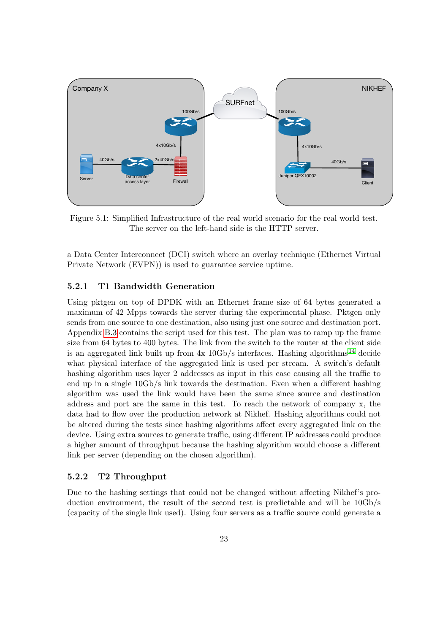<span id="page-23-0"></span>

Figure 5.1: Simplified Infrastructure of the real world scenario for the real world test. The server on the left-hand side is the HTTP server.

a Data Center Interconnect (DCI) switch where an overlay technique (Ethernet Virtual Private Network (EVPN)) is used to guarantee service uptime.

#### 5.2.1 T1 Bandwidth Generation

Using pktgen on top of DPDK with an Ethernet frame size of 64 bytes generated a maximum of 42 Mpps towards the server during the experimental phase. Pktgen only sends from one source to one destination, also using just one source and destination port. Appendix [B.3](#page-51-0) contains the script used for this test. The plan was to ramp up the frame size from 64 bytes to 400 bytes. The link from the switch to the router at the client side is an aggregated link built up from  $4x$  10Gb/s interfaces. Hashing algorithms<sup>[14](#page-36-13)</sup> decide what physical interface of the aggregated link is used per stream. A switch's default hashing algorithm uses layer 2 addresses as input in this case causing all the traffic to end up in a single 10Gb/s link towards the destination. Even when a different hashing algorithm was used the link would have been the same since source and destination address and port are the same in this test. To reach the network of company x, the data had to flow over the production network at Nikhef. Hashing algorithms could not be altered during the tests since hashing algorithms affect every aggregated link on the device. Using extra sources to generate traffic, using different IP addresses could produce a higher amount of throughput because the hashing algorithm would choose a different link per server (depending on the chosen algorithm).

#### 5.2.2 T2 Throughput

Due to the hashing settings that could not be changed without affecting Nikhef's production environment, the result of the second test is predictable and will be 10Gb/s (capacity of the single link used). Using four servers as a traffic source could generate a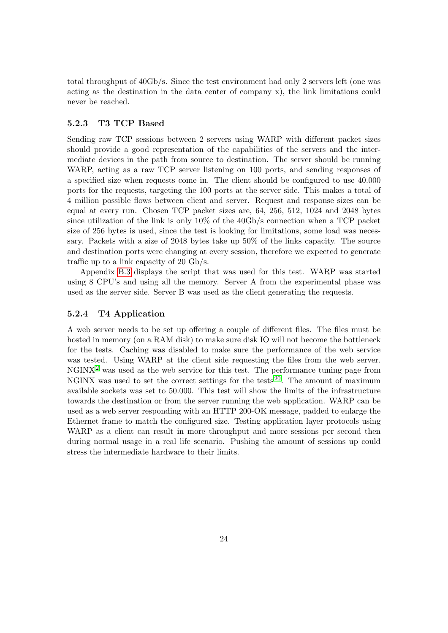total throughput of 40Gb/s. Since the test environment had only 2 servers left (one was acting as the destination in the data center of company x), the link limitations could never be reached.

#### 5.2.3 T3 TCP Based

Sending raw TCP sessions between 2 servers using WARP with different packet sizes should provide a good representation of the capabilities of the servers and the intermediate devices in the path from source to destination. The server should be running WARP, acting as a raw TCP server listening on 100 ports, and sending responses of a specified size when requests come in. The client should be configured to use 40.000 ports for the requests, targeting the 100 ports at the server side. This makes a total of 4 million possible flows between client and server. Request and response sizes can be equal at every run. Chosen TCP packet sizes are, 64, 256, 512, 1024 and 2048 bytes since utilization of the link is only 10% of the 40Gb/s connection when a TCP packet size of 256 bytes is used, since the test is looking for limitations, some load was necessary. Packets with a size of 2048 bytes take up 50% of the links capacity. The source and destination ports were changing at every session, therefore we expected to generate traffic up to a link capacity of 20 Gb/s.

Appendix [B.3](#page-51-0) displays the script that was used for this test. WARP was started using 8 CPU's and using all the memory. Server A from the experimental phase was used as the server side. Server B was used as the client generating the requests.

#### <span id="page-24-0"></span>5.2.4 T4 Application

A web server needs to be set up offering a couple of different files. The files must be hosted in memory (on a RAM disk) to make sure disk IO will not become the bottleneck for the tests. Caching was disabled to make sure the performance of the web service was tested. Using WARP at the client side requesting the files from the web server.  $NGNX<sup>2</sup>$  $NGNX<sup>2</sup>$  $NGNX<sup>2</sup>$  was used as the web service for this test. The performance tuning page from NGINX was used to set the correct settings for the tests  $20$ . The amount of maximum available sockets was set to 50.000. This test will show the limits of the infrastructure towards the destination or from the server running the web application. WARP can be used as a web server responding with an HTTP 200-OK message, padded to enlarge the Ethernet frame to match the configured size. Testing application layer protocols using WARP as a client can result in more throughput and more sessions per second then during normal usage in a real life scenario. Pushing the amount of sessions up could stress the intermediate hardware to their limits.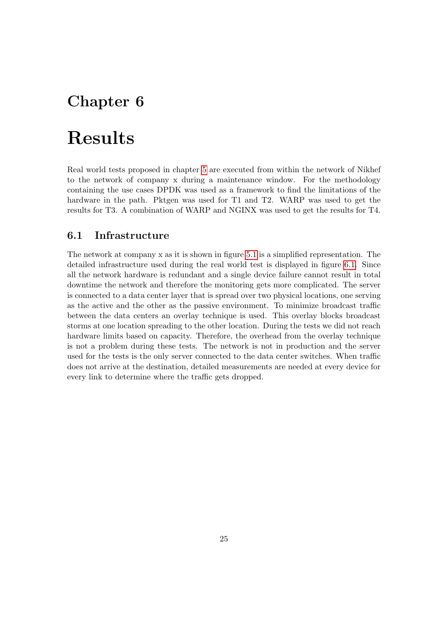## <span id="page-25-0"></span>Chapter 6

## Results

Real world tests proposed in chapter [5](#page-20-0) are executed from within the network of Nikhef to the network of company x during a maintenance window. For the methodology containing the use cases DPDK was used as a framework to find the limitations of the hardware in the path. Pktgen was used for T1 and T2. WARP was used to get the results for T3. A combination of WARP and NGINX was used to get the results for T4.

#### <span id="page-25-1"></span>6.1 Infrastructure

The network at company x as it is shown in figure [5.1](#page-23-0) is a simplified representation. The detailed infrastructure used during the real world test is displayed in figure [6.1.](#page-26-1) Since all the network hardware is redundant and a single device failure cannot result in total downtime the network and therefore the monitoring gets more complicated. The server is connected to a data center layer that is spread over two physical locations, one serving as the active and the other as the passive environment. To minimize broadcast traffic between the data centers an overlay technique is used. This overlay blocks broadcast storms at one location spreading to the other location. During the tests we did not reach hardware limits based on capacity. Therefore, the overhead from the overlay technique is not a problem during these tests. The network is not in production and the server used for the tests is the only server connected to the data center switches. When traffic does not arrive at the destination, detailed measurements are needed at every device for every link to determine where the traffic gets dropped.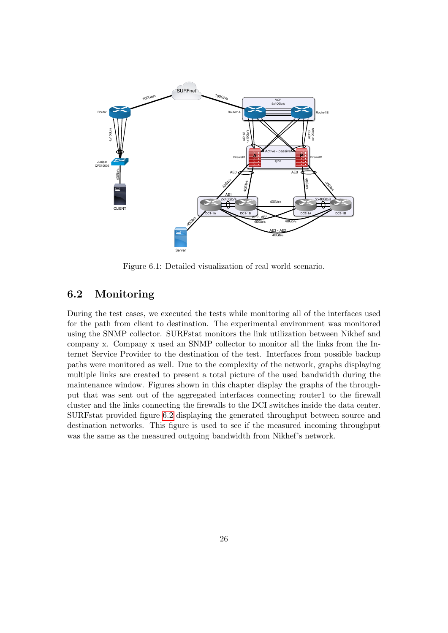<span id="page-26-1"></span>

Figure 6.1: Detailed visualization of real world scenario.

#### <span id="page-26-0"></span>6.2 Monitoring

During the test cases, we executed the tests while monitoring all of the interfaces used for the path from client to destination. The experimental environment was monitored using the SNMP collector. SURFstat monitors the link utilization between Nikhef and company x. Company x used an SNMP collector to monitor all the links from the Internet Service Provider to the destination of the test. Interfaces from possible backup paths were monitored as well. Due to the complexity of the network, graphs displaying multiple links are created to present a total picture of the used bandwidth during the maintenance window. Figures shown in this chapter display the graphs of the throughput that was sent out of the aggregated interfaces connecting router1 to the firewall cluster and the links connecting the firewalls to the DCI switches inside the data center. SURFstat provided figure [6.2](#page-27-1) displaying the generated throughput between source and destination networks. This figure is used to see if the measured incoming throughput was the same as the measured outgoing bandwidth from Nikhef's network.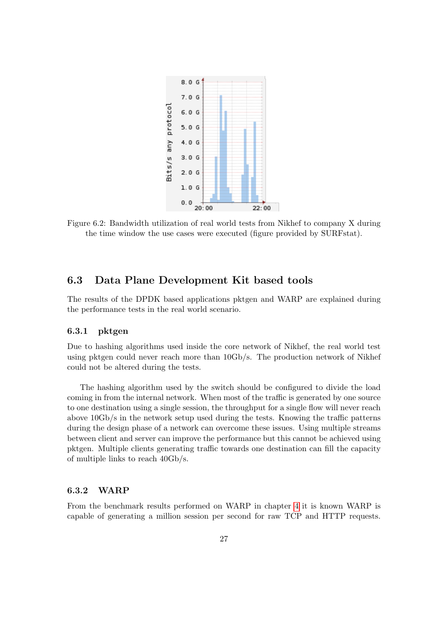<span id="page-27-1"></span>

Figure 6.2: Bandwidth utilization of real world tests from Nikhef to company X during the time window the use cases were executed (figure provided by SURFstat).

#### <span id="page-27-0"></span>6.3 Data Plane Development Kit based tools

The results of the DPDK based applications pktgen and WARP are explained during the performance tests in the real world scenario.

#### 6.3.1 pktgen

Due to hashing algorithms used inside the core network of Nikhef, the real world test using pktgen could never reach more than 10Gb/s. The production network of Nikhef could not be altered during the tests.

The hashing algorithm used by the switch should be configured to divide the load coming in from the internal network. When most of the traffic is generated by one source to one destination using a single session, the throughput for a single flow will never reach above 10Gb/s in the network setup used during the tests. Knowing the traffic patterns during the design phase of a network can overcome these issues. Using multiple streams between client and server can improve the performance but this cannot be achieved using pktgen. Multiple clients generating traffic towards one destination can fill the capacity of multiple links to reach 40Gb/s.

#### 6.3.2 WARP

From the benchmark results performed on WARP in chapter [4](#page-12-0) it is known WARP is capable of generating a million session per second for raw TCP and HTTP requests.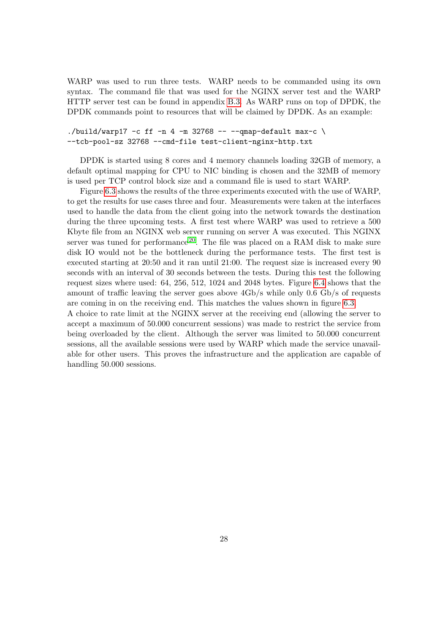WARP was used to run three tests. WARP needs to be commanded using its own syntax. The command file that was used for the NGINX server test and the WARP HTTP server test can be found in appendix [B.3.](#page-51-0) As WARP runs on top of DPDK, the DPDK commands point to resources that will be claimed by DPDK. As an example:

#### ./build/warp17 -c ff -n 4 -m 32768 -- --qmap-default max-c  $\setminus$ --tcb-pool-sz 32768 --cmd-file test-client-nginx-http.txt

DPDK is started using 8 cores and 4 memory channels loading 32GB of memory, a default optimal mapping for CPU to NIC binding is chosen and the 32MB of memory is used per TCP control block size and a command file is used to start WARP.

Figure [6.3](#page-29-0) shows the results of the three experiments executed with the use of WARP, to get the results for use cases three and four. Measurements were taken at the interfaces used to handle the data from the client going into the network towards the destination during the three upcoming tests. A first test where WARP was used to retrieve a 500 Kbyte file from an NGINX web server running on server A was executed. This NGINX server was tuned for performance  $20$ . The file was placed on a RAM disk to make sure disk IO would not be the bottleneck during the performance tests. The first test is executed starting at 20:50 and it ran until 21:00. The request size is increased every 90 seconds with an interval of 30 seconds between the tests. During this test the following request sizes where used: 64, 256, 512, 1024 and 2048 bytes. Figure [6.4](#page-29-1) shows that the amount of traffic leaving the server goes above 4Gb/s while only 0.6 Gb/s of requests are coming in on the receiving end. This matches the values shown in figure [6.3.](#page-29-0)

A choice to rate limit at the NGINX server at the receiving end (allowing the server to accept a maximum of 50.000 concurrent sessions) was made to restrict the service from being overloaded by the client. Although the server was limited to 50.000 concurrent sessions, all the available sessions were used by WARP which made the service unavailable for other users. This proves the infrastructure and the application are capable of handling 50.000 sessions.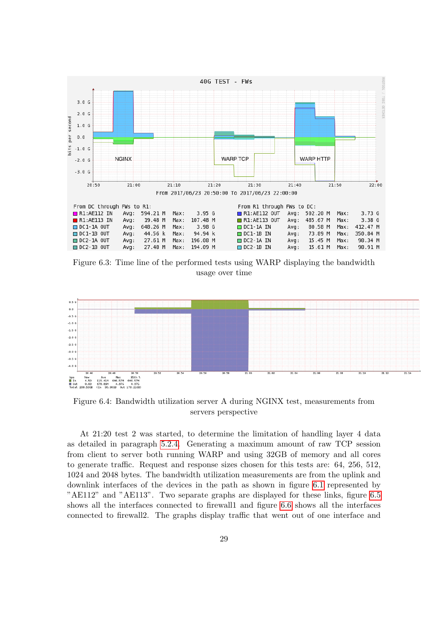<span id="page-29-0"></span>

Figure 6.3: Time line of the performed tests using WARP displaying the bandwidth usage over time

<span id="page-29-1"></span>

Figure 6.4: Bandwidth utilization server A during NGINX test, measurements from servers perspective

At 21:20 test 2 was started, to determine the limitation of handling layer 4 data as detailed in paragraph [5.2.4.](#page-24-0) Generating a maximum amount of raw TCP session from client to server both running WARP and using 32GB of memory and all cores to generate traffic. Request and response sizes chosen for this tests are: 64, 256, 512, 1024 and 2048 bytes. The bandwidth utilization measurements are from the uplink and downlink interfaces of the devices in the path as shown in figure [6.1](#page-26-1) represented by "AE112" and "AE113". Two separate graphs are displayed for these links, figure [6.5](#page-30-0) shows all the interfaces connected to firewall1 and figure [6.6](#page-31-0) shows all the interfaces connected to firewall2. The graphs display traffic that went out of one interface and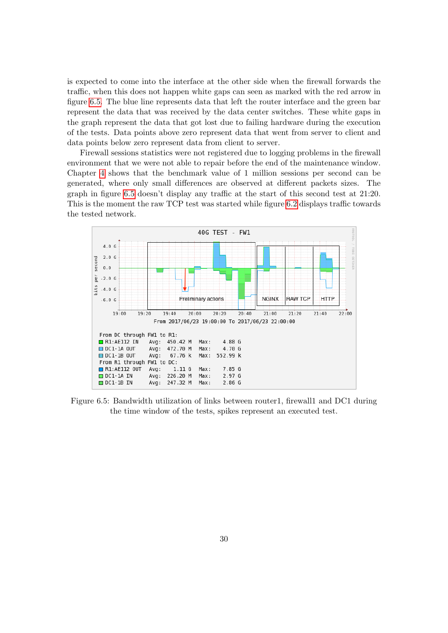is expected to come into the interface at the other side when the firewall forwards the traffic, when this does not happen white gaps can seen as marked with the red arrow in figure [6.5.](#page-30-0) The blue line represents data that left the router interface and the green bar represent the data that was received by the data center switches. These white gaps in the graph represent the data that got lost due to failing hardware during the execution of the tests. Data points above zero represent data that went from server to client and data points below zero represent data from client to server.

Firewall sessions statistics were not registered due to logging problems in the firewall environment that we were not able to repair before the end of the maintenance window. Chapter [4](#page-12-0) shows that the benchmark value of 1 million sessions per second can be generated, where only small differences are observed at different packets sizes. The graph in figure [6.5](#page-30-0) doesn't display any traffic at the start of this second test at 21:20. This is the moment the raw TCP test was started while figure [6.2](#page-27-1) displays traffic towards the tested network.

<span id="page-30-0"></span>

Figure 6.5: Bandwidth utilization of links between router1, firewall1 and DC1 during the time window of the tests, spikes represent an executed test.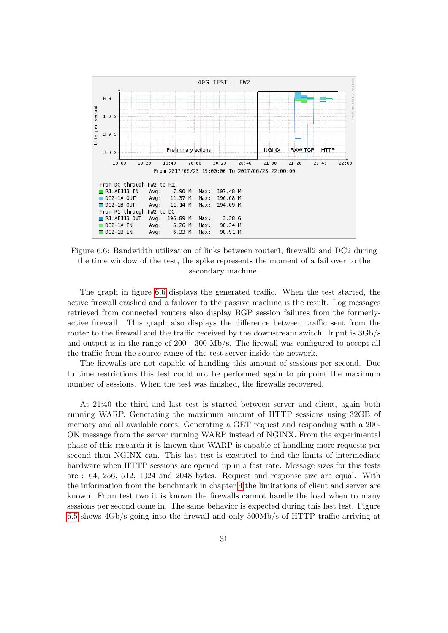<span id="page-31-0"></span>

Figure 6.6: Bandwidth utilization of links between router1, firewall2 and DC2 during the time window of the test, the spike represents the moment of a fail over to the secondary machine.

The graph in figure [6.6](#page-31-0) displays the generated traffic. When the test started, the active firewall crashed and a failover to the passive machine is the result. Log messages retrieved from connected routers also display BGP session failures from the formerlyactive firewall. This graph also displays the difference between traffic sent from the router to the firewall and the traffic received by the downstream switch. Input is 3Gb/s and output is in the range of 200 - 300 Mb/s. The firewall was configured to accept all the traffic from the source range of the test server inside the network.

The firewalls are not capable of handling this amount of sessions per second. Due to time restrictions this test could not be performed again to pinpoint the maximum number of sessions. When the test was finished, the firewalls recovered.

At 21:40 the third and last test is started between server and client, again both running WARP. Generating the maximum amount of HTTP sessions using 32GB of memory and all available cores. Generating a GET request and responding with a 200- OK message from the server running WARP instead of NGINX. From the experimental phase of this research it is known that WARP is capable of handling more requests per second than NGINX can. This last test is executed to find the limits of intermediate hardware when HTTP sessions are opened up in a fast rate. Message sizes for this tests are : 64, 256, 512, 1024 and 2048 bytes. Request and response size are equal. With the information from the benchmark in chapter [4](#page-12-0) the limitations of client and server are known. From test two it is known the firewalls cannot handle the load when to many sessions per second come in. The same behavior is expected during this last test. Figure [6.5](#page-30-0) shows 4Gb/s going into the firewall and only 500Mb/s of HTTP traffic arriving at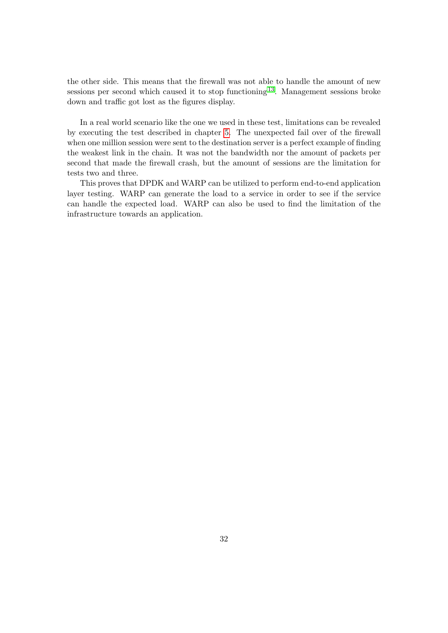the other side. This means that the firewall was not able to handle the amount of new sessions per second which caused it to stop functioning [13](#page-36-15). Management sessions broke down and traffic got lost as the figures display.

In a real world scenario like the one we used in these test, limitations can be revealed by executing the test described in chapter [5.](#page-20-0) The unexpected fail over of the firewall when one million session were sent to the destination server is a perfect example of finding the weakest link in the chain. It was not the bandwidth nor the amount of packets per second that made the firewall crash, but the amount of sessions are the limitation for tests two and three.

This proves that DPDK and WARP can be utilized to perform end-to-end application layer testing. WARP can generate the load to a service in order to see if the service can handle the expected load. WARP can also be used to find the limitation of the infrastructure towards an application.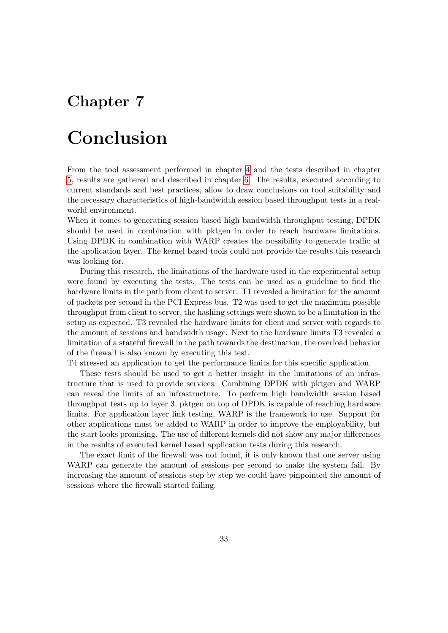## <span id="page-33-0"></span>Chapter 7

## Conclusion

From the tool assessment performed in chapter [4](#page-12-0) and the tests described in chapter [5,](#page-20-0) results are gathered and described in chapter [6.](#page-25-0) The results, executed according to current standards and best practices, allow to draw conclusions on tool suitability and the necessary characteristics of high-bandwidth session based throughput tests in a realworld environment.

When it comes to generating session based high bandwidth throughput testing, DPDK should be used in combination with pktgen in order to reach hardware limitations. Using DPDK in combination with WARP creates the possibility to generate traffic at the application layer. The kernel based tools could not provide the results this research was looking for.

During this research, the limitations of the hardware used in the experimental setup were found by executing the tests. The tests can be used as a guideline to find the hardware limits in the path from client to server. T1 revealed a limitation for the amount of packets per second in the PCI Express bus. T2 was used to get the maximum possible throughput from client to server, the hashing settings were shown to be a limitation in the setup as expected. T3 revealed the hardware limits for client and server with regards to the amount of sessions and bandwidth usage. Next to the hardware limits T3 revealed a limitation of a stateful firewall in the path towards the destination, the overload behavior of the firewall is also known by executing this test.

T4 stressed an application to get the performance limits for this specific application.

These tests should be used to get a better insight in the limitations of an infrastructure that is used to provide services. Combining DPDK with pktgen and WARP can reveal the limits of an infrastructure. To perform high bandwidth session based throughput tests up to layer 3, pktgen on top of DPDK is capable of reaching hardware limits. For application layer link testing, WARP is the framework to use. Support for other applications must be added to WARP in order to improve the employability, but the start looks promising. The use of different kernels did not show any major differences in the results of executed kernel based application tests during this research.

<span id="page-33-1"></span>The exact limit of the firewall was not found, it is only known that one server using WARP can generate the amount of sessions per second to make the system fail. By increasing the amount of sessions step by step we could have pinpointed the amount of sessions where the firewall started failing.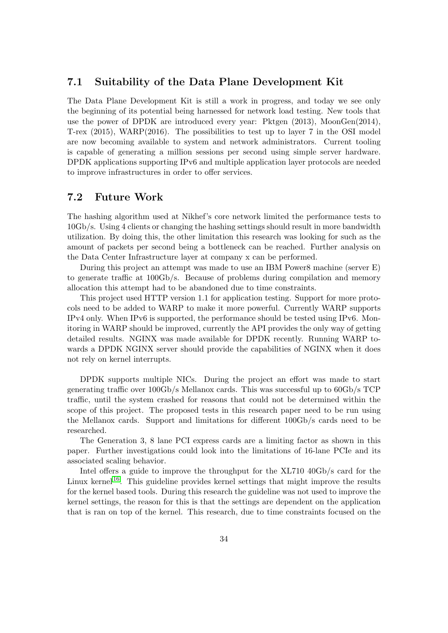#### 7.1 Suitability of the Data Plane Development Kit

The Data Plane Development Kit is still a work in progress, and today we see only the beginning of its potential being harnessed for network load testing. New tools that use the power of DPDK are introduced every year: Pktgen (2013), MoonGen(2014), T-rex (2015), WARP(2016). The possibilities to test up to layer 7 in the OSI model are now becoming available to system and network administrators. Current tooling is capable of generating a million sessions per second using simple server hardware. DPDK applications supporting IPv6 and multiple application layer protocols are needed to improve infrastructures in order to offer services.

#### <span id="page-34-0"></span>7.2 Future Work

The hashing algorithm used at Nikhef's core network limited the performance tests to 10Gb/s. Using 4 clients or changing the hashing settings should result in more bandwidth utilization. By doing this, the other limitation this research was looking for such as the amount of packets per second being a bottleneck can be reached. Further analysis on the Data Center Infrastructure layer at company x can be performed.

During this project an attempt was made to use an IBM Power8 machine (server E) to generate traffic at 100Gb/s. Because of problems during compilation and memory allocation this attempt had to be abandoned due to time constraints.

This project used HTTP version 1.1 for application testing. Support for more protocols need to be added to WARP to make it more powerful. Currently WARP supports IPv4 only. When IPv6 is supported, the performance should be tested using IPv6. Monitoring in WARP should be improved, currently the API provides the only way of getting detailed results. NGINX was made available for DPDK recently. Running WARP towards a DPDK NGINX server should provide the capabilities of NGINX when it does not rely on kernel interrupts.

DPDK supports multiple NICs. During the project an effort was made to start generating traffic over 100Gb/s Mellanox cards. This was successful up to 60Gb/s TCP traffic, until the system crashed for reasons that could not be determined within the scope of this project. The proposed tests in this research paper need to be run using the Mellanox cards. Support and limitations for different 100Gb/s cards need to be researched.

The Generation 3, 8 lane PCI express cards are a limiting factor as shown in this paper. Further investigations could look into the limitations of 16-lane PCIe and its associated scaling behavior.

Intel offers a guide to improve the throughput for the XL710 40Gb/s card for the Linux kernel<sup>[16](#page-36-12)</sup>. This guideline provides kernel settings that might improve the results for the kernel based tools. During this research the guideline was not used to improve the kernel settings, the reason for this is that the settings are dependent on the application that is ran on top of the kernel. This research, due to time constraints focused on the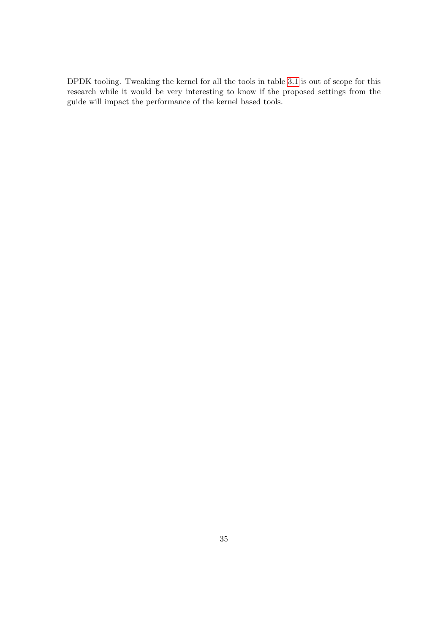DPDK tooling. Tweaking the kernel for all the tools in table [3.1](#page-10-0) is out of scope for this research while it would be very interesting to know if the proposed settings from the guide will impact the performance of the kernel based tools.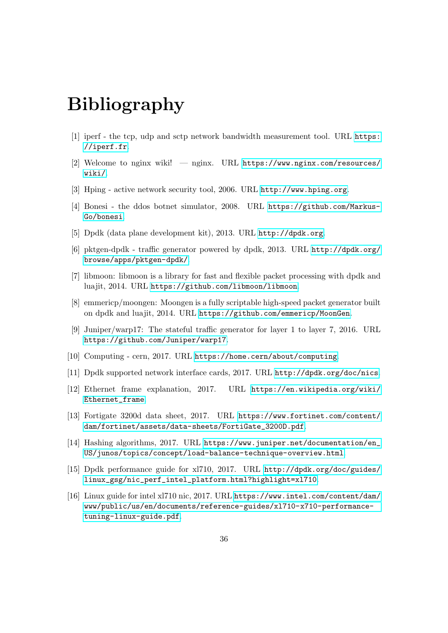## Bibliography

- <span id="page-36-0"></span>[1] iperf - the tcp, udp and sctp network bandwidth measurement tool. URL [https:](https://iperf.fr) [//iperf.fr](https://iperf.fr).
- <span id="page-36-14"></span>[2] Welcome to nginx wiki! — nginx. URL [https://www.nginx.com/resources/](https://www.nginx.com/resources/wiki/) [wiki/](https://www.nginx.com/resources/wiki/).
- <span id="page-36-1"></span>[3] Hping - active network security tool, 2006. URL <http://www.hping.org>.
- <span id="page-36-2"></span>[4] Bonesi - the ddos botnet simulator, 2008. URL [https://github.com/Markus-](https://github.com/Markus-Go/bonesi)[Go/bonesi](https://github.com/Markus-Go/bonesi).
- <span id="page-36-4"></span>[5] Dpdk (data plane development kit), 2013. URL <http://dpdk.org>.
- <span id="page-36-6"></span>[6] pktgen-dpdk - traffic generator powered by dpdk, 2013. URL [http://dpdk.org/](http://dpdk.org/browse/apps/pktgen-dpdk/) [browse/apps/pktgen-dpdk/](http://dpdk.org/browse/apps/pktgen-dpdk/).
- <span id="page-36-10"></span>[7] libmoon: libmoon is a library for fast and flexible packet processing with dpdk and luajit, 2014. URL <https://github.com/libmoon/libmoon>.
- <span id="page-36-5"></span>[8] emmericp/moongen: Moongen is a fully scriptable high-speed packet generator built on dpdk and luajit, 2014. URL <https://github.com/emmericp/MoonGen>.
- <span id="page-36-7"></span>[9] Juniper/warp17: The stateful traffic generator for layer 1 to layer 7, 2016. URL <https://github.com/Juniper/warp17>.
- <span id="page-36-3"></span>[10] Computing - cern, 2017. URL <https://home.cern/about/computing>.
- <span id="page-36-9"></span>[11] Dpdk supported network interface cards, 2017. URL <http://dpdk.org/doc/nics>.
- <span id="page-36-8"></span>[12] Ethernet frame explanation, 2017. URL [https://en.wikipedia.org/wiki/](https://en.wikipedia.org/wiki/Ethernet_frame) [Ethernet\\_frame](https://en.wikipedia.org/wiki/Ethernet_frame).
- <span id="page-36-15"></span>[13] Fortigate 3200d data sheet, 2017. URL [https://www.fortinet.com/content/](https://www.fortinet.com/content/dam/fortinet/assets/data-sheets/FortiGate_3200D.pdf) [dam/fortinet/assets/data-sheets/FortiGate\\_3200D.pdf](https://www.fortinet.com/content/dam/fortinet/assets/data-sheets/FortiGate_3200D.pdf).
- <span id="page-36-13"></span>[14] Hashing algorithms, 2017. URL [https://www.juniper.net/documentation/en\\_](https://www.juniper.net/documentation/en_US/junos/topics/concept/load-balance-technique-overview.html) [US/junos/topics/concept/load-balance-technique-overview.html](https://www.juniper.net/documentation/en_US/junos/topics/concept/load-balance-technique-overview.html).
- <span id="page-36-11"></span>[15] Dpdk performance guide for xl710, 2017. URL [http://dpdk.org/doc/guides/](http://dpdk.org/doc/guides/linux_gsg/nic_perf_intel_platform.html?highlight=xl710) [linux\\_gsg/nic\\_perf\\_intel\\_platform.html?highlight=xl710](http://dpdk.org/doc/guides/linux_gsg/nic_perf_intel_platform.html?highlight=xl710).
- <span id="page-36-12"></span>[16] Linux guide for intel xl710 nic, 2017. URL [https://www.intel.com/content/dam/](https://www.intel.com/content/dam/www/public/us/en/documents/reference-guides/xl710-x710-performance-tuning-linux-guide.pdf) [www/public/us/en/documents/reference-guides/xl710-x710-performance](https://www.intel.com/content/dam/www/public/us/en/documents/reference-guides/xl710-x710-performance-tuning-linux-guide.pdf)[tuning-linux-guide.pdf](https://www.intel.com/content/dam/www/public/us/en/documents/reference-guides/xl710-x710-performance-tuning-linux-guide.pdf).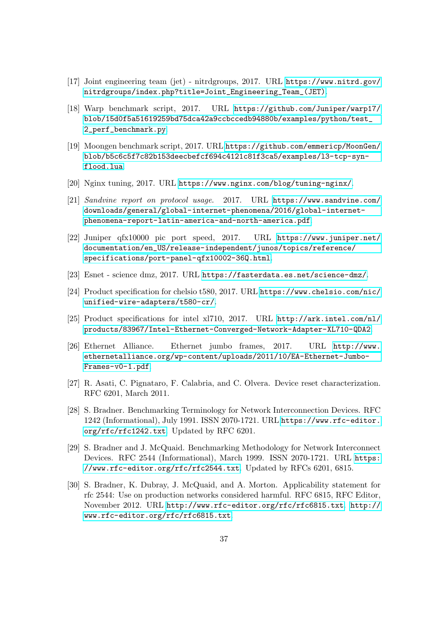- <span id="page-37-3"></span>[17] Joint engineering team (jet) - nitrdgroups, 2017. URL [https://www.nitrd.gov/](https://www.nitrd.gov/nitrdgroups/index.php?title=Joint_Engineering_Team_(JET)) [nitrdgroups/index.php?title=Joint\\_Engineering\\_Team\\_\(JET\)](https://www.nitrd.gov/nitrdgroups/index.php?title=Joint_Engineering_Team_(JET)).
- <span id="page-37-11"></span>[18] Warp benchmark script, 2017. URL [https://github.com/Juniper/warp17/](https://github.com/Juniper/warp17/blob/15d0f5a51619259bd75dca42a9ccbccedb94880b/examples/python/test_2_perf_benchmark.py) [blob/15d0f5a51619259bd75dca42a9ccbccedb94880b/examples/python/test\\_](https://github.com/Juniper/warp17/blob/15d0f5a51619259bd75dca42a9ccbccedb94880b/examples/python/test_2_perf_benchmark.py) [2\\_perf\\_benchmark.py](https://github.com/Juniper/warp17/blob/15d0f5a51619259bd75dca42a9ccbccedb94880b/examples/python/test_2_perf_benchmark.py).
- <span id="page-37-12"></span>[19] Moongen benchmark script, 2017. URL [https://github.com/emmericp/MoonGen/](https://github.com/emmericp/MoonGen/blob/b5c6c5f7c82b153deecbefcf694c4121c81f3ca5/examples/l3-tcp-syn-flood.lua) [blob/b5c6c5f7c82b153deecbefcf694c4121c81f3ca5/examples/l3-tcp-syn](https://github.com/emmericp/MoonGen/blob/b5c6c5f7c82b153deecbefcf694c4121c81f3ca5/examples/l3-tcp-syn-flood.lua)[flood.lua](https://github.com/emmericp/MoonGen/blob/b5c6c5f7c82b153deecbefcf694c4121c81f3ca5/examples/l3-tcp-syn-flood.lua).
- <span id="page-37-10"></span>[20] Nginx tuning, 2017. URL <https://www.nginx.com/blog/tuning-nginx/>.
- <span id="page-37-4"></span>[21] Sandvine report on protocol usage. 2017. URL [https://www.sandvine.com/](https://www.sandvine.com/downloads/general/global-internet-phenomena/2016/global-internet-phenomena-report-latin-america-and-north-america.pdf) [downloads/general/global-internet-phenomena/2016/global-internet](https://www.sandvine.com/downloads/general/global-internet-phenomena/2016/global-internet-phenomena-report-latin-america-and-north-america.pdf)[phenomena-report-latin-america-and-north-america.pdf](https://www.sandvine.com/downloads/general/global-internet-phenomena/2016/global-internet-phenomena-report-latin-america-and-north-america.pdf).
- <span id="page-37-5"></span>[22] Juniper qfx10000 pic port speed, 2017. URL [https://www.juniper.net/](https://www.juniper.net/documentation/en_US/release-independent/junos/topics/reference/specifications/port-panel-qfx10002-36Q.html) [documentation/en\\_US/release-independent/junos/topics/reference/](https://www.juniper.net/documentation/en_US/release-independent/junos/topics/reference/specifications/port-panel-qfx10002-36Q.html) [specifications/port-panel-qfx10002-36Q.html](https://www.juniper.net/documentation/en_US/release-independent/junos/topics/reference/specifications/port-panel-qfx10002-36Q.html).
- <span id="page-37-0"></span>[23] Esnet - science dmz, 2017. URL <https://fasterdata.es.net/science-dmz/>.
- <span id="page-37-8"></span>[24] Product specification for chelsio t580, 2017. URL [https://www.chelsio.com/nic/](https://www.chelsio.com/nic/unified-wire-adapters/t580-cr/) [unified-wire-adapters/t580-cr/](https://www.chelsio.com/nic/unified-wire-adapters/t580-cr/).
- <span id="page-37-9"></span>[25] Product specifications for intel xl710, 2017. URL [http://ark.intel.com/nl/](http://ark.intel.com/nl/products/83967/Intel-Ethernet-Converged-Network-Adapter-XL710-QDA2) [products/83967/Intel-Ethernet-Converged-Network-Adapter-XL710-QDA2](http://ark.intel.com/nl/products/83967/Intel-Ethernet-Converged-Network-Adapter-XL710-QDA2).
- <span id="page-37-2"></span>[26] Ethernet Alliance. Ethernet jumbo frames, 2017. URL [http://www.](http://www.ethernetalliance.org/wp-content/uploads/2011/10/EA-Ethernet-Jumbo-Frames-v0-1.pdf) [ethernetalliance.org/wp-content/uploads/2011/10/EA-Ethernet-Jumbo-](http://www.ethernetalliance.org/wp-content/uploads/2011/10/EA-Ethernet-Jumbo-Frames-v0-1.pdf)[Frames-v0-1.pdf](http://www.ethernetalliance.org/wp-content/uploads/2011/10/EA-Ethernet-Jumbo-Frames-v0-1.pdf).
- [27] R. Asati, C. Pignataro, F. Calabria, and C. Olvera. Device reset characterization. RFC 6201, March 2011.
- <span id="page-37-1"></span>[28] S. Bradner. Benchmarking Terminology for Network Interconnection Devices. RFC 1242 (Informational), July 1991. ISSN 2070-1721. URL [https://www.rfc-editor.](https://www.rfc-editor.org/rfc/rfc1242.txt) [org/rfc/rfc1242.txt](https://www.rfc-editor.org/rfc/rfc1242.txt). Updated by RFC 6201.
- <span id="page-37-6"></span>[29] S. Bradner and J. McQuaid. Benchmarking Methodology for Network Interconnect Devices. RFC 2544 (Informational), March 1999. ISSN 2070-1721. URL [https:](https://www.rfc-editor.org/rfc/rfc2544.txt) [//www.rfc-editor.org/rfc/rfc2544.txt](https://www.rfc-editor.org/rfc/rfc2544.txt). Updated by RFCs 6201, 6815.
- <span id="page-37-7"></span>[30] S. Bradner, K. Dubray, J. McQuaid, and A. Morton. Applicability statement for rfc 2544: Use on production networks considered harmful. RFC 6815, RFC Editor, November 2012. URL <http://www.rfc-editor.org/rfc/rfc6815.txt>. [http://](http://www.rfc-editor.org/rfc/rfc6815.txt) [www.rfc-editor.org/rfc/rfc6815.txt](http://www.rfc-editor.org/rfc/rfc6815.txt).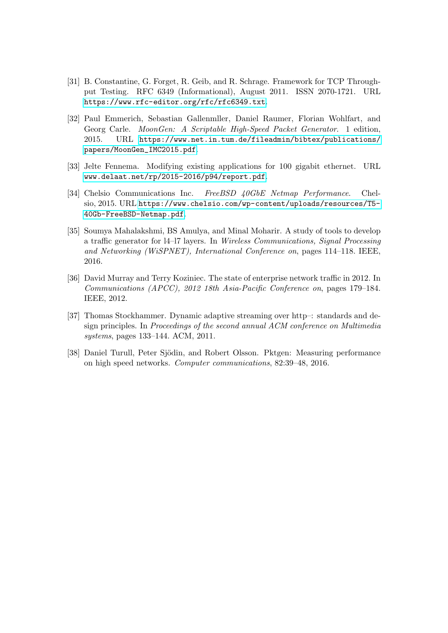- <span id="page-38-5"></span>[31] B. Constantine, G. Forget, R. Geib, and R. Schrage. Framework for TCP Throughput Testing. RFC 6349 (Informational), August 2011. ISSN 2070-1721. URL <https://www.rfc-editor.org/rfc/rfc6349.txt>.
- <span id="page-38-2"></span>[32] Paul Emmerich, Sebastian Gallenmller, Daniel Raumer, Florian Wohlfart, and Georg Carle. MoonGen: A Scriptable High-Speed Packet Generator. 1 edition, 2015. URL [https://www.net.in.tum.de/fileadmin/bibtex/publications/](https://www.net.in.tum.de/fileadmin/bibtex/publications/papers/MoonGen_IMC2015.pdf) [papers/MoonGen\\_IMC2015.pdf](https://www.net.in.tum.de/fileadmin/bibtex/publications/papers/MoonGen_IMC2015.pdf).
- <span id="page-38-4"></span>[33] Jelte Fennema. Modifying existing applications for 100 gigabit ethernet. URL <www.delaat.net/rp/2015-2016/p94/report.pdf>.
- <span id="page-38-6"></span>[34] Chelsio Communications Inc. FreeBSD 40GbE Netmap Performance. Chelsio, 2015. URL [https://www.chelsio.com/wp-content/uploads/resources/T5-](https://www.chelsio.com/wp-content/uploads/resources/T5-40Gb-FreeBSD-Netmap.pdf) [40Gb-FreeBSD-Netmap.pdf](https://www.chelsio.com/wp-content/uploads/resources/T5-40Gb-FreeBSD-Netmap.pdf).
- <span id="page-38-3"></span>[35] Soumya Mahalakshmi, BS Amulya, and Minal Moharir. A study of tools to develop a traffic generator for l4–l7 layers. In Wireless Communications, Signal Processing and Networking (WiSPNET), International Conference on, pages 114–118. IEEE, 2016.
- <span id="page-38-0"></span>[36] David Murray and Terry Koziniec. The state of enterprise network traffic in 2012. In Communications (APCC), 2012 18th Asia-Pacific Conference on, pages 179–184. IEEE, 2012.
- <span id="page-38-1"></span>[37] Thomas Stockhammer. Dynamic adaptive streaming over http–: standards and design principles. In Proceedings of the second annual ACM conference on Multimedia systems, pages 133–144. ACM, 2011.
- [38] Daniel Turull, Peter Sjödin, and Robert Olsson. Pktgen: Measuring performance on high speed networks. Computer communications, 82:39–48, 2016.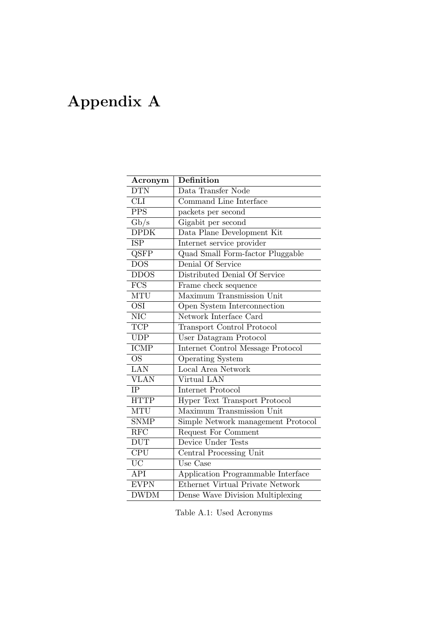## <span id="page-39-0"></span>Appendix A

| Acronym                    | Definition                           |
|----------------------------|--------------------------------------|
| <b>DTN</b>                 | Data Transfer Node                   |
| <b>CLI</b>                 | Command Line Interface               |
| $\overline{\mathrm{PPS}}$  | packets per second                   |
| Gb/s                       | Gigabit per second                   |
| $\overline{\text{DPDK}}$   | Data Plane Development Kit           |
| <b>ISP</b>                 | Internet service provider            |
| Q <sub>SFP</sub>           | Quad Small Form-factor Pluggable     |
| $\overline{\text{DOS}}$    | Denial Of Service                    |
| <b>DDOS</b>                | Distributed Denial Of Service        |
| $\overline{\mathrm{FCS}}$  | Frame check sequence                 |
| <b>MTU</b>                 | Maximum Transmission Unit            |
| <b>OSI</b>                 | Open System Interconnection          |
| $\overline{\text{NIC}}$    | Network Interface Card               |
| <b>TCP</b>                 | <b>Transport Control Protocol</b>    |
| $\overline{\mathrm{UDP}}$  | User Datagram Protocol               |
| <b>ICMP</b>                | Internet Control Message Protocol    |
| <b>OS</b>                  | <b>Operating System</b>              |
| $\overline{\text{LAN}}$    | Local Area Network                   |
| <b>VLAN</b>                | Virtual LAN                          |
| IP                         | Internet Protocol                    |
| <b>HTTP</b>                | <b>Hyper Text Transport Protocol</b> |
| MTU                        | Maximum Transmission Unit            |
| <b>SNMP</b>                | Simple Network management Protocol   |
| RFC                        | Request For Comment                  |
| <b>DUT</b>                 | Device Under Tests                   |
| $\overline{\text{CPU}}$    | Central Processing Unit              |
| $\overline{UC}$            | Use Case                             |
| API                        | Application Programmable Interface   |
| <b>EVPN</b>                | Ethernet Virtual Private Network     |
| $\overline{\mathrm{DWDM}}$ | Dense Wave Division Multiplexing     |

Table A.1: Used Acronyms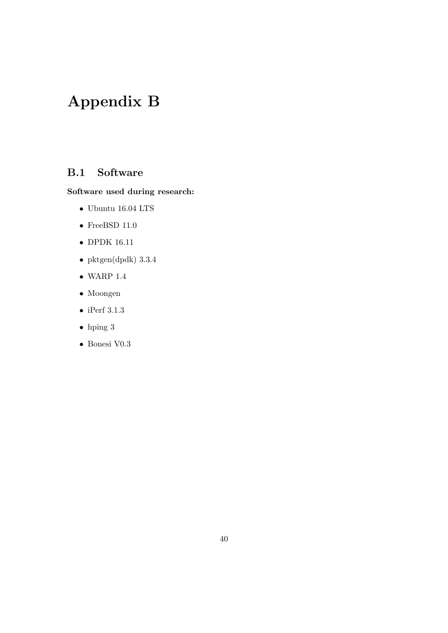## <span id="page-40-0"></span>Appendix B

#### <span id="page-40-1"></span>B.1 Software

#### Software used during research:

- $\bullet$  Ubuntu 16.04 LTS
- $\bullet$  FreeBSD 11.0
- DPDK 16.11
- pktgen(dpdk) 3.3.4
- $\bullet$  WARP 1.4
- Moongen
- iPerf 3.1.3
- hping 3
- Bonesi V0.3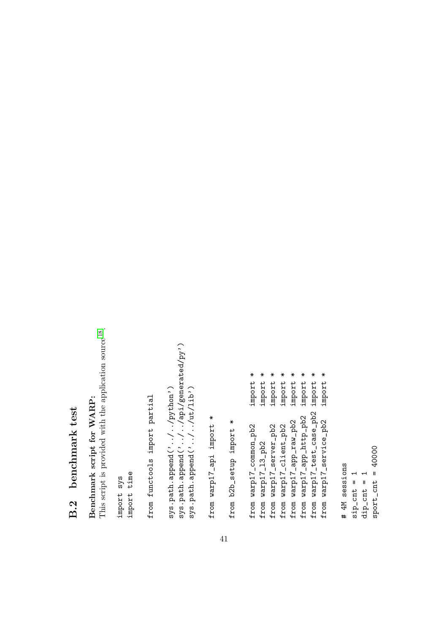## **B.2** benchmark test B.2 benchmark test

<span id="page-41-0"></span>This script is provided with the application source<sup>18</sup>. This script is provided with the application source [18](#page-37-11). Benchmark script for WARP: Benchmark script for WARP:

import sys import time from functools import partial from functools import partial

sys.path.append('../../api/generated/py') sys.path.append('../../api/generated/py') sys.path.append('../../python') sys.path.append('../../ut/lib') sys.path.append('../../python') sys.path.append('../../ut/lib')

from warp17\_api import \* from warp17\_api import \*

from b2b\_setup import \* from b2b\_setup import \*

41

import \* from warp17\_common\_pb2 import \* import \* from warp17\_l3\_pb2 import \* import \* from warp17\_server\_pb2 import \* import \* from warp17\_client\_pb2 import \* import \* from warp17\_app\_raw\_pb2 import \* import \* from warp17\_app\_http\_pb2 import \* import \* from warp17\_test\_case\_pb2 import \* import \* from warp17\_service\_pb2 import \* from warp17\_test\_case\_pb2 from warp17\_app\_raw\_pb2<br>from warp17\_app\_http\_pb2 from warp17\_service\_pb2 from warp17\_common\_pb2 from warp17\_server\_pb2 from warp17\_client\_pb2 from warp17\_13\_pb2

 $sport_cant = 40000$ sport\_cnt = 40000 # 4M sessions # 4M sessions  $\text{sign\_cnt} = 1$  $dip\_cnt = 1$  $sign\_cnt = 1$  $dip\_cnt = 1$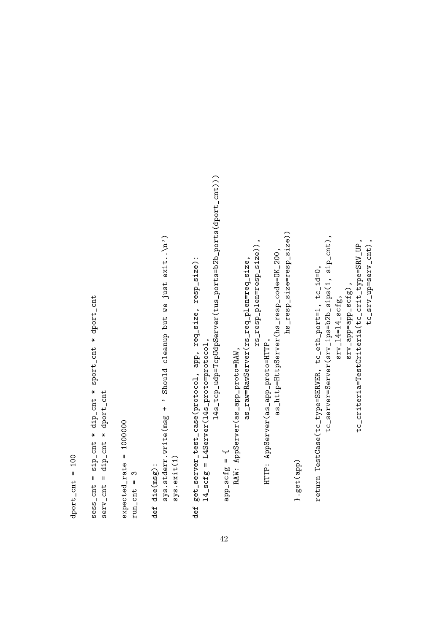```
14s_tcp_udp=TcpUdpServer(tus_ports=b2b_ports(dport_cnt)))
                                                                                                                                                                                                                                                                                                                                                                                                                                                                                                                                    l4s_tcp_udp=TcpUdpServer(tus_ports=b2b_ports(dport_cnt)))
                                                                                                                                                                                                                                                                                                                                                                                                                                                                                                                                                                                                                                                                                                                                                                                                  hs_resp_size=resp_size))
                                                                                                                                                                                                                                                                                                                                                                                                                                                                                                                                                                                                                                                                                                                                                                                                     hs_resp_size=resp_size))
                                                                                                                                                                                                                                                                                                                                                                                                                                                                                                                                                                                                                                                                                                                                                                                                                                                                                                                                                    tc_server=Server(srv_ips=b2b_sips(1, sip_cnt),
                                                                                                                                                                                                                                                                                                                                         sys.stderr.write(msg + ' Should cleanup but we just exit..\n')
                                                                                                                                                                                                                                                                                                                                             sys.stderr.write(msg + ' Should cleanup but we just exit..\n')
                                                                                                                                                                                                                                                                                                                                                                                                                                                                                                                                                                                                                                                                                                                                                                                                                                                                                                                                                       tc_server=Server(srv_ips=b2b_sips(1, sip_cnt),
                                                                                                                                                                                                                                                                                                                                                                                                                                                                                                                                                                                                                                                                                rs_resp_plen=resp_size)),
                                                                                                                                                                                                                                                                                                                                                                                                                                                                                                                                                                                                                                                                                                                                                                                                                                                                                                                                                                                                                                                                  tc_criteria=TestCriteria(tc_crit_type=SRV_UP,
                                                                                                                                                                                                                                                                                                                                                                                                                                                                                                                                                                                                                                                                                                                                                                                                                                                                                                                                                                                                                                                                                                          tc_srv_up=serv_cnt),
                                                                                                                                                                                                                                                                                                                                                                                                                                                                                                                                                                                                                                                                                       rs_resp_plen=resp_size)),
                                                                                                                                                                                                                                                                                                                                                                                                                                                                                                                                                                                                                                                                                                                                                                                                                                                                                                                                                                                                                                                                     tc_criteria=TestCriteria(tc_crit_type=SRV_UP,
                                                                                                                                                                                                                                                                                                                                                                                                                                                                                                                                                                                                                                                                                                                                                                                                                                                                                                                                                                                                                                                                                                          tc_srv_up=serv_cnt),
                                                                                                                                                                                                                                                                                                                                                                                                                                                                                                                                                                                                                                                                                                                                                           as_http=HttpServer(hs_resp_code=OK_200,
                                                                                                                                                                                                                                                                                                                                                                                                                                                                                                                                                                                                                                                                                                                                                                as_http=HttpServer(hs_resp_code=OK_200,
                                                                                                                                                                                                                                                                                                                                                                                                                                                        def get_server_test_case(protocol, app, req_size, resp_size):
                                                                                                                                                                                                                                                                                                                                                                                                                                                                                                                                                                                                                                               as_raw=RawServer(rs_req_plen=req_size,
                                                                                                                                                                                                                                                                                                                                                                                                                                                                                                                                                                                                                                                  as_raw=RawServer(rs_req_plen=req_size,
                                                                                                                                                                                                                                                                                                                                                                                                                                                           def get_server_test_case(protocol, app, req_size, resp_size):
                                                                                                                                                                                                                                                                                                                                                                                                                                                                                                                                                                                                                                                                                                                                                                                                                                                                                                             return TestCase(tc_type=SERVER, tc_eth_port=1, tc_id=0,
                                                                                                                                                                                                                                                                                                                                                                                                                                                                                                                                                                                                                                                                                                                                                                                                                                                                                                                   return TestCase(tc_type=SERVER, tc_eth_port=1, tc_id=0,
                                                                                                                                                                                                                                                                                                                                                                                                                                                                                                                                                                                                                                                                                                                                                                                                                                                                                                                                                                                                                               \texttt{srv\_app} = \texttt{app\_scfg} ,
                                                                                                                                                                                                                                                                                                                                                                                                                                                                                                                                                                                                                                                                                                                                                                                                                                                                                                                                                                                                                                 \texttt{srv\_app=app\_scfg} ,
                                                                       sess_cnt = sip_cnt * dip_cnt * sport_cnt * dport_cnt
                                                                                                                                                                                                                                                                                                                                                                                                                                                                                                                                                                                                                                                                                                                                                                                                                                                                                                                                                                                      srv_14=14<sub>-</sub>scfg,
                                                                              sess_cnt = sip_cnt * dip_cnt * sport_cnt * dport_cnt
                                                                                                                                                                                                                                                                                                                                                                                                                                                                                                                                                                                                                                                                                                                                                                                                                                                                                                                                                                                              srv_14=14<sub>-</sub>scfg,
                                                                                                                                                                                                                                                                                                                                                                                                                                                                                           14-scfg = L4Server(14s-proto=protocol,
                                                                                                                                                                                                                                                                                                                                                                                                                                                                                                                                                                                                                                                                                                                        HTTP: AppServer(as_app_proto=HTTP,
                                                                                                                                                                                                                                                                                                                                                                                                                                                                                               l4_scfg = L4Server(l4s_proto=protocol,
                                                                                                                                                                                                                                                                                                                                                                                                                                                                                                                                                                                                                                                                                                                           HTTP: AppServer(as_app_proto=HTTP,
                                                                                                                                                                                                                                                                                                                                                                                                                                                                                                                                                                                                         RAW: AppServer(as_app_proto=RAW,
                                                                                                                                                                                                                                                                                                                                                                                                                                                                                                                                                                                                             RAW: AppServer(as_app_proto=RAW,
                                                                                                             serv\_cnt = dip\_cnt * dport\_cntserv_cnt = dip_cnt * dport_cnt
                                                                                                                                                                                    expected\_rate = 1000000expected_rate = 1000000
                                                                                                                                                                                                                                                                                                                                                                                                                                                                                                                                                                  = 522s-dpq = 2p-scfg = {
\text{dport\_cnt} = 100sys.exit(1)
     dport_cnt = 100
                                                                                                                                                                                                                                                                                                                                                                                                                                                                                                                                                                                                                                                                                                                                                                                                                                    }.get(app)
                                                                                                                                                                                                                                                                                                  def die(msg):
                                                                                                                                                                                                                                                                                                        def die(msg):
                                                                                                                                                                                                                       run\_cnt = 3run\_cnt = 3
```
42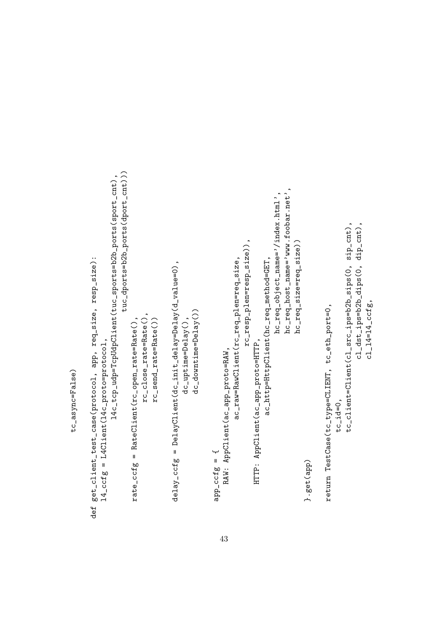tc\_async=False) tc\_async=False)

tuc\_dports=b2b\_ports(dport\_cnt)) tuc\_dports=b2b\_ports(dport\_cnt))) 14c\_tcp\_udp=TcpUdpClient(tuc\_sports=b2b\_ports(sport\_cnt), l4c\_tcp\_udp=TcpUdpClient(tuc\_sports=b2b\_ports(sport\_cnt), hc\_req\_host\_name='www.foobar.net', hc\_req\_host\_name='www.foobar.net', hc\_req\_object\_name='/index.html', hc\_req\_object\_name='/index.html', tc\_id=0,<br>tc\_client=Client(cl\_src\_ips=b2b\_sips(0, sip\_cnt), rc\_resp\_plen=resp\_size)), hc\_req\_size=req\_size)) rc\_resp\_plen=resp\_size)), hc\_req\_size=req\_size)) def get\_client\_test\_case(protocol, app, req\_size, resp\_size): ac\_raw=RawClient(rc\_req\_plen=req\_size, ac\_http=HttpClient(hc\_req\_method=GET, ac\_raw=RawClient(rc\_req\_plen=req\_size, ac\_http=HttpClient(hc\_req\_method=GET, def get\_client\_test\_case(protocol, app, req\_size, resp\_size):  $\texttt{delay\_ccfg} = \texttt{DelayClient}(\texttt{dc\_init\_delay=Delay}(\texttt{d\_value=0}),$ delay\_ccfg = DelayClient(dc\_init\_delay=Delay(d\_value=0), return TestCase(tc\_type=CLIENT, tc\_eth\_port=0, return TestCase(tc\_type=CLIENT, tc\_eth\_port=0,  $dc\_downtime=Delay()$ dc\_downtime=Delay()) rc\_close\_rate=Rate(),  $rc\_close\_rate = Rate()$ ,  $dc$ -uptime=Delay(), rc\_send\_rate=Rate()) rate\_ccfg = RateClient(rc\_open\_rate=Rate(), rc\_send\_rate=Rate()) dc\_uptime=Delay(),  $rate\_ccfg = RateCline(11entirc_open\_rate = Rate()$ HTTP: AppClient(ac\_app\_proto=HTTP,  $14 \text{-ccfg} = 14 \text{Client} (14 \text{c_protor} - \text{protoco1})$ l4\_ccfg = L4Client(l4c\_proto=protocol, HTTP: AppClient(ac\_app\_proto=HTTP, RAW: AppClient (ac\_app\_proto=RAW, RAW: AppClient(ac\_app\_proto=RAW,  $= 5222 - 446$  $= 5222 - 946$ }.get(app)

tc\_client=Client(cl\_src\_ips=b2b\_sips(0, sip\_cnt),

cl\_dst\_ips=b2b\_dips(0, dip\_cnt),

cl\_dst\_ips=b2b\_dips(0, dip\_cnt),

 $c1_14=14_1ccfg,$ 

 $c1_14 = 14_1ccfg,$ 

43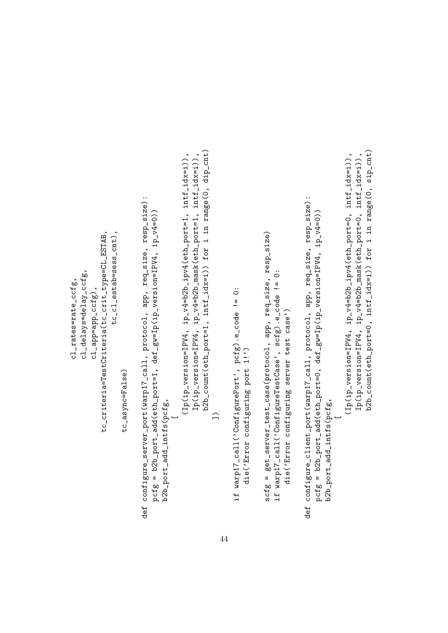b2b\_count(eth\_port=1, intf\_idx=i)) for i in range(0, dip\_cnt) b2b\_count(eth\_port=1, intf\_idx=i)) for i in range(0, dip\_cnt)  $(1p(ip\_version=IPV4, 1p_V4=b2b_ippv4(eth_port=1, 1ntf_idx=i)),$  $Ip(ip\_version=IPV4, ip_v4=b2b\_mask(eth_port=1, intf_idx=i)),$  $(1p(ip\_version=IPV4, 1p_v4=b2b_1pv4(eth\_port=1, intf_idx=i)),$ Ip(ip\_version=IPV4, ip\_v4=b2b\_mask(eth\_port=1, intf\_idx=i)), def configure\_server\_port(warp17\_call, protocol, app, req\_size, resp\_size): def configure\_client\_port(warp17\_call, protocol, app, req\_size, resp\_size): def configure\_server\_port(warp17\_call, protocol, app, req\_size, resp\_size): def configure\_client\_port(warp17\_call, protocol, app, req\_size, resp\_size): pcfg = b2b\_port\_add(eth\_port=0, def\_gw=Ip(ip\_version=IPV4, ip\_v4=0)) pcfg = b2b\_port\_add(eth\_port=1, def\_gw=Ip(ip\_version=IPV4, ip\_v4=0)) pcfg = b2b\_port\_add(eth\_port=1, def\_gw=Ip(ip\_version=IPV4, ip\_v4=0)) pcfg = b2b\_port\_add(eth\_port=0, def\_gw=Ip(ip\_version=IPV4, ip\_v4=0)) tc\_cl\_estab=sess\_cnt), scfg = get\_server\_test\_case(protocol, app, req\_size, resp\_size) tc\_criteria=TestCriteria(tc\_crit\_type=CL\_ESTAB, tc\_criteria=TestCriteria(tc\_crit\_type=CL\_ESTAB, tc\_cl\_estab=sess\_cnt), scfg = get\_server\_test\_case(protocol, app, req\_size, resp\_size) cl\_delays=delay\_ccfg, if warp17\_call('ConfigureTestCase', scfg).e\_code != 0: cl\_delays=delay\_ccfg, if warp17\_call('ConfigureTestCase', scfg).e\_code != 0: cl\_rates=rate\_ccfg, cl\_rates=rate\_ccfg, cl\_app=app\_ccfg), if warp17\_call('ConfigurePort', pcfg).e\_code != 0:  $c1$ \_app=app\_ $cctg$ ), if warp17\_call('ConfigurePort', pcfg).e\_code != 0: die('Error configuring server test case') die('Error configuring server test case') die('Error configuring port 1!') die('Error configuring port 1!') tc\_async=False) tc\_async=False) b2b\_port\_add\_intfs(pcfg, b2b\_port\_add\_intfs(pcfg, b2b\_port\_add\_intfs(pcfg, b2b\_port\_add\_intfs(pcfg,  $\bigcap$ \_ \_

 $(1p(ip\_version=IPV4, 1p_v4=b2b_1pv4(eth\_port=0, 1ntf_idx=i)),$ Ip(ip\_version=IPV4, ip\_v4=b2b\_mask(eth\_port=0, intf\_idx=i)), b2b\_count(eth\_port=0, intf\_idx=i)) for i in range(0, sip\_cnt)

 $(Ip(ip\_version=IPV4, ip_v4=b2b\_ipv4(eth\_port=0, intf_idx=i)),$ Ip(ip\_version=IPV4, ip\_v4=b2b\_mask(eth\_port=0, intf\_idx=i)), b2b\_count(eth\_port=0, intf\_idx=i)) for i in range(0, sip\_cnt)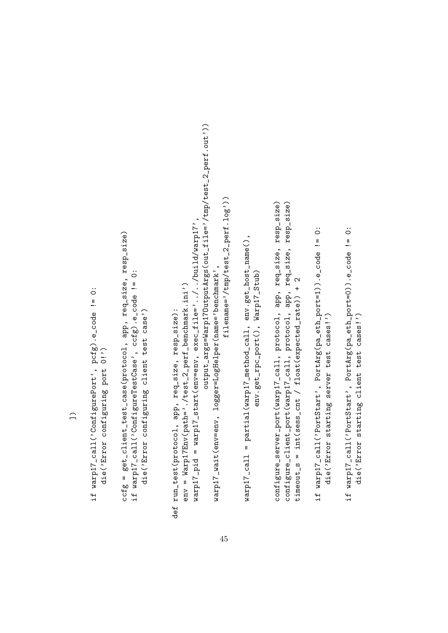if warp17\_call('ConfigurePort', pcfg).e\_code != 0: if warp17\_call('ConfigurePort', pcfg).e\_code != 0: die('Error configuring port 0!') die('Error configuring port 0!') ccfg = get\_client\_test\_case(protocol, app, req\_size, resp\_size) ccfg = get\_client\_test\_case(protocol, app, req\_size, resp\_size) if warp17\_call('ConfigureTestCase', ccfg).e\_code != 0: if warp17\_call('ConfigureTestCase', ccfg).e\_code != 0: die('Error configuring client test case') die('Error configuring client test case')

output\_args=Warp170utputArgs(out\_file='/tmp/test\_2\_perf.out')) output\_args=Warp17OutputArgs(out\_file='/tmp/test\_2\_perf.out')) filename= $2$ /tmp/test\_2\_perf.log $2$ ) filename='/tmp/test\_2\_perf.log'))  $\text{warpl7}\text{-}\text{pid} = \text{warpl7}\text{-}\text{start}(\text{env}=\text{env}, \text{ exec}\text{-}\text{file}=\text{?}../../\text{build}/\text{warpl7}$ warp17\_pid = warp17\_start(env=env, exec\_file='../../build/warp17', warp17\_wait(env=env, logger=LogHelper(name='benchmark', warp17\_wait(env=env, logger=LogHelper(name='benchmark', env = Warp17Env(path='./test\_2\_perf\_benchmark.ini') env = Warp17Env(path='./test\_2\_perf\_benchmark.ini') def run\_test(protocol, app, req\_size, resp\_size): def run\_test(protocol, app, req\_size, resp\_size):

warp17\_call = partial(warp17\_method\_call, env.get\_host\_name(), warp17\_call = partial(warp17\_method\_call, env.get\_host\_name(), env.get\_rpc\_port(), Warp17\_Stub) env.get\_rpc\_port(), Warp17\_Stub) configure\_server\_port(warp17\_call, protocol, app, req\_size, resp\_size) configure\_client\_port(warp17\_call, protocol, app, req\_size, resp\_size) configure\_server\_port(warp17\_call, protocol, app, req\_size, resp\_size) configure\_client\_port(warp17\_call, protocol, app, req\_size, resp\_size) timeout\_s = int(sess\_cnt / float(expected\_rate)) + 2 timeout\_s = int(sess\_cnt / float(expected\_rate)) + 2

- if warp17\_call('PortStart', PortArg(pa\_eth\_port=1)).e\_code != 0: if warp17\_call('PortStart', PortArg(pa\_eth\_port=1)).e\_code != 0: die('Error starting server test cases!') die('Error starting server test cases!')
- if warpi7\_call('PortStart', PortArg(pa\_eth\_port=0)).e\_code != 0: if warp17\_call('PortStart', PortArg(pa\_eth\_port=0)).e\_code != 0: die('Error starting client test cases!') die('Error starting client test cases!')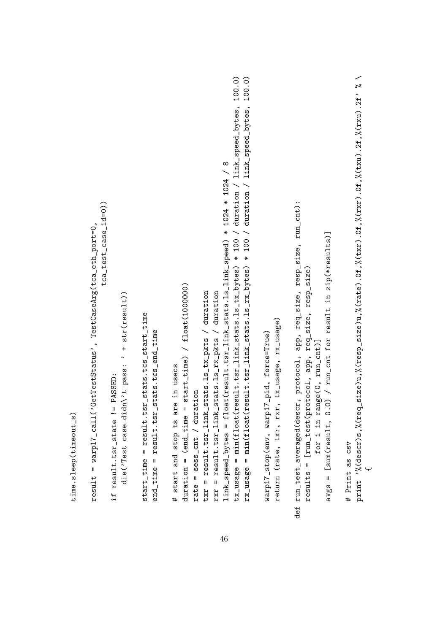```
print \frac{3}{6} (descr)s, \frac{2}{3}(req_size)u, \frac{2}{3}(resp_size)u, \frac{2}{3}(rate). Of, \frac{2}{3}(txr). Of, \frac{2}{3}(txr). 2f, \frac{2}{3}(rxu). 2f' \frac{2}{3}print '%(descr)s,%(req_size)u,%(resp_size)u,%(rate).0f,%(txr).0f,%(rxr).0f,%(txu).2f,%(rxu).2f' % \
                                                                                                                                                                                                                                                                                                                                                                                                                                                                                                                                                                                                                                                                                                                                                                                                                                                                                                                                   tx_usage = min(float(result.tsr_link_stats.ls_tx_bytes) * 100 / duration / link_speed_bytes, 100.0)
                                                                                                                                                                                                                                                                                                                                                                                                                                                                                                                                                                                                                                                                                                                                                                                                                                                                                                                                                                                           rx_usage = min(float(result.tsr_link_stats.ls_rx_bytes) * 100 / duration / link_speed_bytes, 100.0)
                                                                                                                                                                                                                                                                                                                                                                                                                                                                                                                                                                                                                                                                                                                                                                                                                                                                                                                                             tx_usage = min(float(result.tsr_link_stats.ls_tx_bytes) * 100 / duration / link_speed_bytes, 100.0)
                                                                                                                                                                                                                                                                                                                                                                                                                                                                                                                                                                                                                                                                                                                                                                                                                                                                                                                                                                                                      rx_usage = min(float(result.tsr_link_stats.ls_rx_bytes) * 100 / duration / link_speed_bytes, 100.0)
                                                                                                                                                                                                                                                                                                                                                                                                                                                                                                                                                                                                                                                                                                                                                                                                                                                                                link_speed_bytes = float(result.tsr_link_stats.ls_link_speed) * 1024 * 1024 / 8
                                                                                                                                                                                                                                                                                                                                                                                                                                                                                                                                                                                                                                                                                                                                                                                                                                                                                    link_speed_bytes = float(result.tsr_link_stats.ls_link_speed) * 1024 * 1024 / 8
                                                                                                                                                                                                                                                                                                                                                                                                                                                                                                                                                                                                                                                                                                                                                                                                                                                                                                                                                                                                                                                                                                                                                                                                                                                                                            def run_test_averaged(descr, protocol, app, req_size, resp_size, run_cnt):
                                                                                                                                                                   tca_test_case_id=0))
                                                                                                                                                                           tca_test_case_id=0))
                                                                                                                                                                                                                                                                                                                                                                                                                                                                                                                                                                                                                                                                                                                                                                                                                                                                                                                                                                                                                                                                                                                                                                                                                                                                                                 def run_test_averaged(descr, protocol, app, req_size, resp_size, run_cnt):
                                                                                                          result = warp17_call('GetTestStatus', TestCaseArg(tca_eth_port=0,
                                                                                                                  result = warp17_call('GetTestStatus', TestCaseArg(tca_eth_port=0,
                                                                                                                                                                                                                                                                                                                                                                                                                                                                                                                                                                                                                                                                                                                                                                                                                                                                                                                                                                                                                                                                                                                                                                                                                                                                                                                                                                                                                                                                   avgs = [sum(result, 0.0) / run_cant for result in zip(*results)]avgs = [sum(result, 0.0) / run_cnt for result in zip(*results)]
                                                                                                                                                                                                                                                                                                                                                                                                                                                                                                                                                                                                                                                                                                                                                                                                                                                                                                                                                                                                                                                                                                                                                                                                                                                                                                                                                     results = [run_test(protocol, app, req_size, resp_size)
                                                                                                                                                                                                                                                                                                                                                                                                                                                                                                                                                                                                                                                                                                                                                                                                                                                                                                                                                                                                                                                                                                                                                                                                                                                                                                                                                          results = [run_test(protocol, app, req_size, resp_size)
                                                                                                                                                                                                                                                                                                                                                                                                                                                                                                                                                                                                                                           duration = (end\_time - start\_time) / float(1000000)duration = (\text{end\_time - start\_time}) / f1oat(1000000)rxr = result.tsr_1link_stats.ls_rx_pkts / durationtxr = result.tsr_1ink_sts.ls_txs_1s_ks / durationtxr = result.tsr_link_stats.ls_tx_pkts / duration
                                                                                                                                                                                                                                                                                                                                                                                                                                                                                                                                                                                                                                                                                                                                                                                                                           rxr = result.tsr_link_stats.ls_rx_pkts / duration
                                                                                                                                                                                                                                                                                             die('Test case didn\setminus't pass: ' + str(\texttt{result}))
                                                                                                                                                                                                                                                                                                                                                                                                        start_time = result.tsr_stats.tcs_start_time
                                                                                                                                                                                                                                                                                                                                                                                                                  start_time = result.tsr_stats.tcs_start_time
                                                                                                                                                                                                                                                                                                                                                                                                                                                                                                                                                                                                                                                                                                                                                                                                                                                                                                                                                                                                                                                                                                                                                                              return (rate, txr, rxr, tx_usage, rx_usage)
                                                                                                                                                                                                                                                                                                                                                                                                                                                                                                                                                                                                                                                                                                                                                                                                                                                                                                                                                                                                                                                                                                                                                                                return (rate, txr, rxr, tx_usage, rx_usage)
                                                                                                                                                                                                                                                                                                                                                                                                                                                                 end_time = result.tsr_stats.tcs_end_time
                                                                                                                                                                                                                                                                                                                                                                                                                                                                                                                                                                                                                                                                                                                                                                                                                                                                                                                                                                                                                                                                                                               warp17_stop(env, warp17_pid, force=True)
                                                                                                                                                                                                                                                                                                                                                                                                                                                                           end_time = result.tsr_stats.tcs_end_time
                                                                                                                                                                                                                                                                                                                                                                                                                                                                                                                                                                                                                                                                                                                                                                                                                                                                                                                                                                                                                                                                                                                       warp17_stop(env, warp17_pid, force=True)
                                                                                                                                                                                                                                                                                                                                                                                                                                                                                                                                                                                                                                                                                                                                                                                                                                                                                                                                                                                                                                                                                                                                                                                                                                                                                                                                                                                                              for i in range(0, run_cnt)]
                                                                                                                                                                                                                                                                                                                                                                                                                                                                                                                                                                                                                                                                                                                                                                                                                                                                                                                                                                                                                                                                                                                                                                                                                                                                                                                                                                                                                   for i in range(0, run_cnt)]
                                                                                                                                                                                                                                                                                                                                                                                                                                                                                                                                                                                     # start and stop ts are in usecs
                                                                                                                                                                                                                                                                                                                                                                                                                                                                                                                                                                                            # start and stop ts are in usecs
                                                                                                                                                                                                                            if result.tsr_state != PASSED:
                                                                                                                                                                                                                                       if result.tsr_state != PASSED:
                                                                                                                                                                                                                                                                                                                                                                                                                                                                                                                                                                                                                                                                                                   rate = sess_{cat} / duration
                                                                                                                                                                                                                                                                                                                                                                                                                                                                                                                                                                                                                                                                                                          rate = sess_cnt / duration
time.sleep(timeout_s)
 time.sleep(timeout_s)
                                                                                                                                                                                                                                                                                                                                                                                                                                                                                                                                                                                                                                                                                                                                                                                                                                                                                                                                                                                                                                                                                                                                                                                                                                                                                                                                                                                                                                                                                                                                                                                       # Print as csv
                                                                                                                                                                                                                                                                                                                                                                                                                                                                                                                                                                                                                                                                                                                                                                                                                                                                                                                                                                                                                                                                                                                                                                                                                                                                                                                                                                                                                                                                                                                                                                                                 # Print as csv
                                                                                                                                                                                                                                                                                                                                                                                                                                                                                                                                                                                                                                                                                                                                                                                                                                                                                                                                                                                                                                                                                                                                                                                                                                                                                                                                                                                                                                                                                                                                                                                                                                                                                                               {
```
46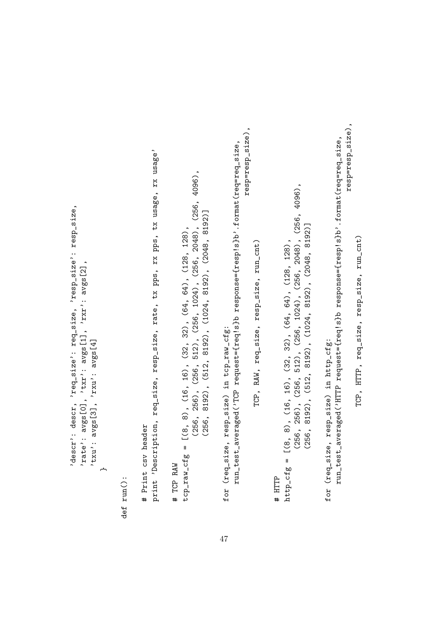```
descr': descr, 'req_size': req_size, 'resp_size': resp_size,
      'descr': descr, 'req_size': req_size, 'resp_size': resp_size,
                                           'rate': avgs[0], 'txr': avgs[1], 'rxr': avgs[2],
                                                  'rate': avgs[0], 'txr': avgs[1], 'rxr': avgs[2],
                                                                                          vtxu': avgs[3], 'rxu': avgs[4]'txu': avgs[3], 'rxu': avgs[4]
                                                                                                                                               ←
```
def run():

# Print csv header # Print csv header

print 'Description, req\_size, resp\_size, rate, tx pps, rx pps, tx usage, rx usage' print 'Description, req\_size, resp\_size, rate, tx pps, rx pps, tx usage, rx usage'

 $(256, 256), (256, 512), (256, 1024), (256, 2048), (256, 4096),$ (256, 256), (256, 512), (256, 1024), (256, 2048), (256, 4096),  $(256, 8192), (512, 8192), (1024, 8192), (2048, 8192)$ (256, 8192), (512, 8192), (1024, 8192), (2048, 8192)] # TCP RAW<br>tcp\_raw\_cfg = [(8, 8), (16, 16), (32, 32), (64, 64), (128, 128), tcp\_raw\_cfg = [(8, 8), (16, 16), (32, 32), (64, 64), (128, 128),

run\_test\_averaged('TCP request={req!s}b response={resp!s}b'.format(req=req\_size, run\_test\_averaged('TCP request={req!s}b response={resp!s}b'.format(req=req\_size, for (req\_size, resp\_size) in tcp\_raw\_cfg: for (req\_size, resp\_size) in tcp\_raw\_cfg:

resp=resp\_size), resp=resp\_size),

> TCP, RAW, req\_size, resp\_size, run\_cnt) TCP, RAW, req\_size, resp\_size, run\_cnt)

 $(256, 256), (256, 512), (256, 1024), (256, 2048), (256, 4096),$ (256, 256), (256, 512), (256, 1024), (256, 2048), (256, 4096),  $(256, 8192), (512, 8192), (1024, 8192), (2048, 8192)$ (256, 8192), (512, 8192), (1024, 8192), (2048, 8192)] # HTTP<br>http\_cfg = [(8, 8), (16, 16), (32, 32), (64, 64), (128, 128), http\_cfg = [(8, 8), (16, 16), (32, 32), (64, 64), (128, 128),

resp=resp\_size), resp=resp\_size), run\_test\_averaged('HTTP request={req!s}b response={resp!s}b'.format(req=req\_size, run\_test\_averaged('HTTP request={req!s}b response={resp!s}b'.format(req=req\_size, for (req\_size, resp\_size) in http\_cfg: for (req\_size, resp\_size) in http\_cfg:

TCP, HTTP, req\_size, resp\_size, run\_cnt) TCP, HTTP, req\_size, resp\_size, run\_cnt)

47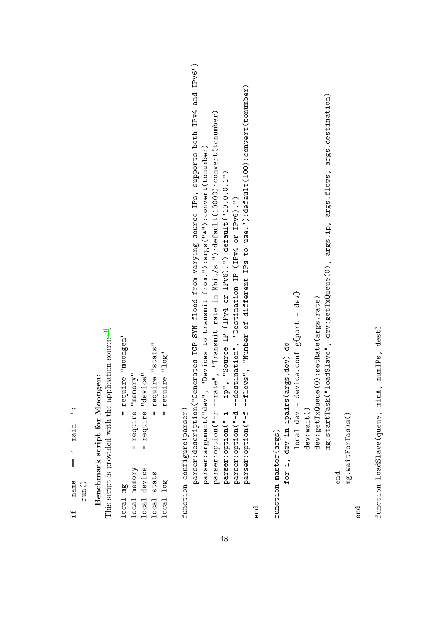| local mg                     | require "moongen"<br>$\mathbf{I}$                                                                                                                                                     |
|------------------------------|---------------------------------------------------------------------------------------------------------------------------------------------------------------------------------------|
| local memory<br>local device | $=$ require "memory"<br>require "device"<br>$\mathbf{u}$                                                                                                                              |
| stats<br>local               | = require "stats"                                                                                                                                                                     |
| local log                    | $=$ require " $log$ "                                                                                                                                                                 |
| function configure(parser)   |                                                                                                                                                                                       |
|                              | parser:description("Generates TCP SYM flood from varying source IPs, supports both IPv4 and IPv6")<br>parser:argument("dev", "Devices to transmit from."):args("*"):convert(tonumber) |
|                              | parser:option("-r --rate", "Transmit rate in Mbit/s."):default(10000):convert(tonumber)<br>parser:option("-i --ip", "Source IP (IPv4 or IPv6)."):default("10.0.0.1")                  |
|                              | parser:option("-f --flows", "Number of different IPs to use."):default(100):convert(tonumber)<br>parser: option("-d --destination", "Destination IP (IPv4 or IPv6).")                 |
|                              |                                                                                                                                                                                       |
| end                          |                                                                                                                                                                                       |
| function master(args)        |                                                                                                                                                                                       |
|                              | for i, dev in ipairs (args.dev) do                                                                                                                                                    |
|                              | $device.configfort = dev$<br>$10cal$ dev =                                                                                                                                            |
|                              | dev:wait()                                                                                                                                                                            |
|                              | dev:getTxQueue(0):setRate(args.rate)                                                                                                                                                  |
|                              | ("loadSlave", dev:getTxQueue(0), args.ip, args.flows, args.destination)<br>mg.startTask                                                                                               |
| end                          |                                                                                                                                                                                       |
|                              | mg. waitForTasks()                                                                                                                                                                    |
| end                          |                                                                                                                                                                                       |

function loadSlave(queue, minA, numIPs, dest) function loadSlave(queue, minA, numIPs, dest)

if  $\lrcorner$  name  $\lrcorner$  ==  $\lrcorner$  -  $\lrcorner$  main  $\lrcorner$  :

if  $_{1}$  -name - ==  $(-$  -nain -  $)$  :

run()

Benchmark script for Moongen:

This script is provided with the application source [19](#page-37-12).

**Benchmark script for Moongen:**<br>This script is provided with the application source <sup>19</sup>.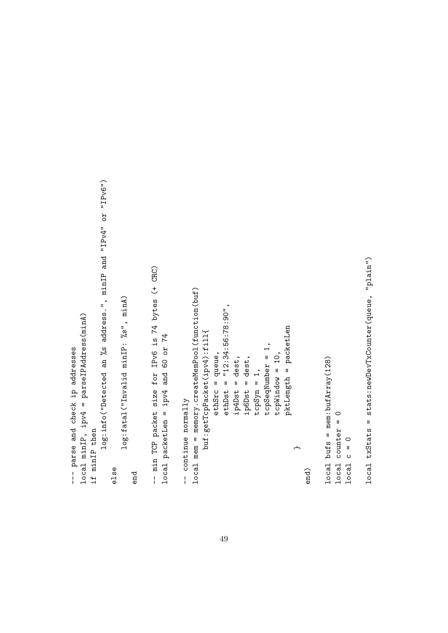```
log:info("Detected an %s address.", minIP and "IPv4" or "IPv6")
                                                                                      log:info("Detected an %s address.", minIP and "IPv4" or "IPv6")
                                                                                                                                                                                                                            -- min TCP packet size for IPv6 is 74 bytes (+ CRC)
                                                                                                                                                                                                                                  -- min TCP packet size for IPv6 is 74 bytes (+ CRC)
                                                                                                                                                                                                                                                                                                                                           local mem = memory.createMemPool(function(buf)
                                                                                                                                                                                                                                                                                                                                                  local mem = memory.createMemPool(function(buf)
                                                                                                                                         log:fatal("Invalid minIP: %s", minA)
                                                                                                                                              log:fatal("Invalid minIP: %s", minA)
                                                                                                                                                                                                                                                                                                                                                                                                     ethSrc = queue,<br>ethDst = "12:34:56:78:90",ethDst = "12:34:56:78:90",
                        local minIP, ipv4 = parseIPAddress(minA)
                              local minIP, ipv4 = parseIPAddress(minA)
                                                                                                                                                                                                                                                                                                                                                                                                                                                                                                                                                                                                          pktLength = packetLen
                                                                                                                                                                                                                                                                                                                                                                                                                                                                                                                                                                                                               pktLength = packetLen
                                                                                                                                                                                                                                                                                                                                                                       buf:getTcpPacket(ipv4):fill{
                                                                                                                                                                                                                                                                                                                                                                              buf:getTcpPacket(ipv4):fill{
                                                                                                                                                                                                                                                        local packetLen = ipv4 and 60 or 74
                                                                                                                                                                                                                                                               local packetLen = ipv4 and 60 or 74
                                                                                                                                                                                                                                                                                                                                                                                                                                                                                                                      tcpSyn = 1,<br>tcpSeqNumber = 1,
--- parse and check ip addresses
                                                                                                                                                                                                                                                                                                                                                                                                                                                                                                                                                       tcpSeqNumber = 1,
    --- parse and check ip addresses
                                                                                                                                                                                                                                                                                                                                                                                                                                                                                                                                                                               tcpWindow = 10,
                                                                                                                                                                                                                                                                                                                                                                                                           ethSrc = queue,
                                                                                                                                                                                                                                                                                                                                                                                                                                                              ip4Dst = dest,tcpWindow = 10,
                                                                                                                                                                                                                                                                                                                                                                                                                                                                                          ip6Dst = dest,1oca1 bufs = mem:bufArray(128)
                                                                                                                                                                                                                                                                                                                                                                                                                                                                   ip4Dst = dest,
                                                                                                                                                                                                                                                                                                                                                                                                                                                                                               ip6Dst = dest,
                                                                                                                                                                                                                                                                                                                                                                                                                                                                                                                                                                                                                                                                                                                             local bufs = mem:bufArray(128)
                                                                                                                                                                                                                                                                                                                   -- continue normally
                                                                                                                                                                                                                                                                                                                       -- continue normally
                                                                                                                                                                                                                                                                                                                                                                                                                                                                                                                                                                                                                                                                                                                                                       1ocal counter = 01ocal counter = 0if minIP then
                                                           if minIP then
                                                                                                                                                                                                                                                                                                                                                                                                                                                                                                                                                                                                                                                                                                                                                                                    Local c = 01ocal c = 0\overline{a}else
                                                                                                                                                                                                                                                                                                                                                                                                                                                                                                                                                                                                                                                                   end)
                                                                                                                                                                       end
```
local txStats = stats:newDevTxCounter(queue, "plain") local txStats = stats:newDevTxCounter(queue, "plain")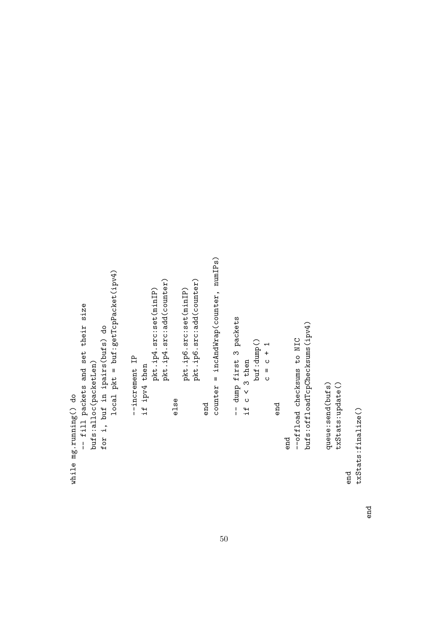```
end<br>counter = incAndWrap(counter, numIPs)
                                                                                                                                                                                                                                                                                                                                                                                                                                   counter = incAndWrap(counter, numIPs)
                                                                                                                        local pkt = buf:getTcpPacket(ipv4)
                                                                                                                             local pkt = buf:getTcpPacket(ipv4)
                                                                                                                                                                                                                                              \begin{array}{ll} \texttt{plt}.\texttt{ip4}.\texttt{src}:\texttt{set}(\texttt{minIP})\\ \texttt{plt}.\texttt{ip4}.\texttt{src}:\texttt{add}(\texttt{counter}) \end{array}\begin{array}{l} \hspace{0.5mm} \texttt{plt} \ldotp \texttt{ip6} \texttt{.src} \texttt{:} \texttt{set} \texttt{(minIP)} \\ \hspace{0.5mm} \texttt{plt} \ldotp \texttt{ip6} \texttt{. src} \texttt{:} \texttt{add} \texttt{(counter)} \end{array}pkt.ip4.src:add(counter)
                                                                                                                                                                                                                                                                                                                                                                        pkt.ip6.src:add(counter)
                                                                                                                                                                                                                                                  pkt.ip4.src:set(minIP)
                                                                                                                                                                                                                                                                                                                                           pkt.ip6.src:set(minIP)
                                  -- fill packets and set their size
                                      -- fill packets and set their size
                                                                                                                                                                                                                                                                                                                                                                                                                                                                                         -- dump first 3 packets
                                                                                                                                                                                                                                                                                                                                                                                                                                                                                                -- dump first 3 packets
                                                                                                                                                                                                                                                                                                                                                                                                                                                                                                                                                                                                                                                                                                        bufs:offloadTcpChecksums(ipv4)
                                                                                                                                                                                                                                                                                                                                                                                                                                                                                                                                                                                                                                                                                                            bufs:offloadTcpChecksums(ipv4)
                                                                                        for i, buf in ipairs(bufs) do
                                                                                               for i, buf in ipairs(bufs) do
                                                                                                                                                                                                                                                                                                                                                                                                                                                                                                                                                                                                                                               end<br>--offload checksums to NIC
                                                                                                                                                                                                                                                                                                                                                                                                                                                                                                                                                                                                                                                                                --offload checksums to NIC
                                                                                                                                                                                                                                                                                                                                                                                                                                                                                                                                                         buf:dump()<br>c = c + 1
                                                                                                                                                                                   --increment IP
                                                                                                                                                                                                                                                                                                                                                                                                                                                                                                                      if c < 3 then
                                                                                                                                                                                         --increment IP
                                                            bufs:alloc(packetLen)
                                                                                                                                                                                                                if ipv4 then
                                                                                                                                                                                                                                                                                                                                                                                                                                                                                                                             if c < 3 then
                                                                  bufs:alloc(packetLen)
                                                                                                                                                                                                                       if ipv4 then
                                                                                                                                                                                                                                                                                                                                                                                                                                                                                                                                                                                                                                                                                                                                                                 queue:send(bufs)
                                                                                                                                                                                                                                                                                                                                                                                                                                                                                                                                                                                                                                                                                                                                                                                                txStats:update()
                                                                                                                                                                                                                                                                                                                                                                                                                                                                                                                                                                                                                                                                                                                                                                       queue:send(bufs)
                                                                                                                                                                                                                                                                                                                                                                                                                                                                                                                                                                                                                                                                                                                                                                                                    txStats:update()
while mg.running() do
       while mg.running() do
                                                                                                                                                                                                                                                                                                          else
                                                                                                                                                                                                                                                                                                                                                                                                                                                                                                                                                                                                                 end
                                                                                                                                                                                                                                                                                                                                                                                                                                                                                                                                                                                                                                                                                                                                                                                                                                end<br>txStats:finalize()
                                                                                                                                                                                                                                                                                                                                                                                                                                                                                                                                                                                                                                                                                                                                                                                                                                                               txStats:finalize()
```
end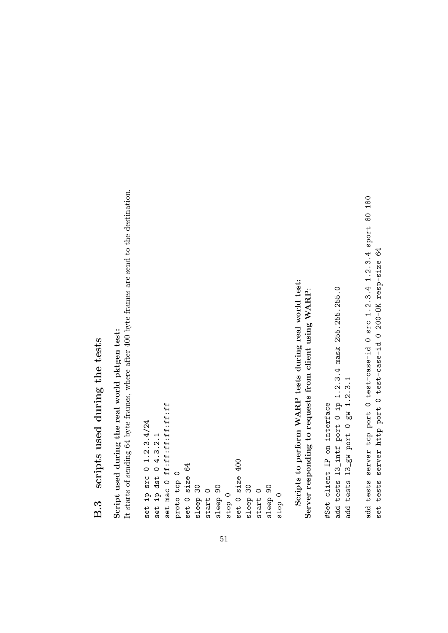## B.3 scripts used during the tests B.3 scripts used during the tests

# Script used during the real world pktgen test: Script used during the real world pktgen test:

It starts of sending 64 byte frames, where after 400 byte frames are send to the destination. It starts of sending 64 byte frames, where after 400 byte frames are send to the destination.

```
Scripts to perform WARP tests during real world test:
                                                                                                                                                                                                                                                                                                                                              Scripts to perform WARP tests during real world test:
                                                                                                                                                                                                                                                                                                                                                                 Server responding to requests from client using WARP:
                                                                                                                                                                                                                                                                                                                                                                     Server responding to requests from client using WARP:
                                           set mac 0 ff:ff:ff:ff:ff:ff
                                                set mac 0 ff:ff:ff:ff:ff:ff
set ip src 0 1.2.3.4/24
   set ip src 0 1.2.3.4/24
                  set ip dst 0 4.3.2.1
                          set ip dst 0 4.3.2.1
                                                                                                                                                                                 stop 0<br>set 0 size 400
                                                                                                                                                                                                             set 0 size 400
                                                                                        set O size 64
                                                                                             set 0 size 64
                                                                  proto top 0
                                                                       proto tcp 0
                                                                                                               sleep 30
                                                                                                                                                         sleep 90
                                                                                                                                                                                                                              sleep 30
                                                                                                                                                                                                                                                                         sleep 90
                                                                                                                                     start 0
                                                                                                                                                                                                                                                     start 0
                                                                                                                                                                                                                                                                                                   stop 0
```
<span id="page-51-0"></span>51

add tests 13\_intf port 0 ip 1.2.3.4 mask 255.255.255.0 add tests l3\_intf port 0 ip 1.2.3.4 mask 255.255.255.0 add tests 13\_gw port 0 gw 1.2.3.1 add tests l3\_gw port 0 gw 1.2.3.1 #Set client IP on interface #Set client IP on interface

add tests server tcp port O test-case-id O src 1.2.3.4 1.2.3.4 sport 80 180 add tests server tcp port 0 test-case-id 0 src 1.2.3.4 1.2.3.4 sport 80 180 set tests server http port 0 test-case-id 0 200-DK resp-size 64 set tests server http port 0 test-case-id 0 200-OK resp-size 64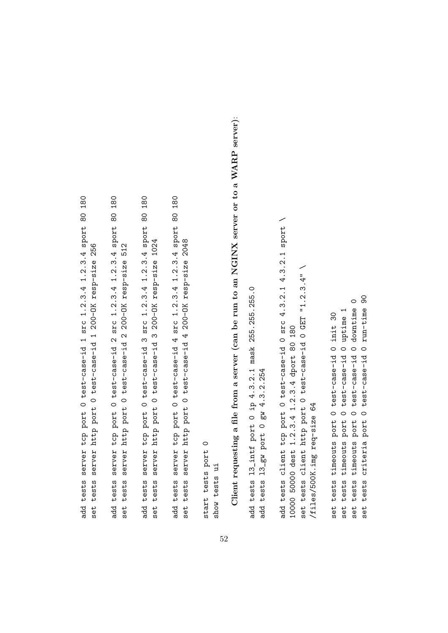add tests server tcp port O test-case-id 1 src 1.2.3.4 1.2.3.4 sport 80 180 add tests server tcp port 0 test-case-id 1 src 1.2.3.4 1.2.3.4 sport 80 180 set tests server http port 0 test-case-id 1 200-DK resp-size 256 set tests server http port 0 test-case-id 1 200-OK resp-size 256 add tests server tcp port O test-case-id 2 src 1.2.3.4 1.2.3.4 sport 80 180 add tests server tcp port 0 test-case-id 2 src 1.2.3.4 1.2.3.4 sport 80 180 set tests server http port 0 test-case-id 2 200-OK resp-size 512 set tests server http port 0 test-case-id 2 200-OK resp-size 512 add tests server tcp port 0 test-case-id 3 src 1.2.3.4 1.2.3.4 sport 80 180 add tests server tcp port 0 test-case-id 3 src 1.2.3.4 1.2.3.4 sport 80 180 server http port 0 test-case-id 3 200-DK resp-size 1024 set tests server http port 0 test-case-id 3 200-OK resp-size 1024 tests set

add tests server tcp port O test-case-id 4 src 1.2.3.4 1.2.3.4 sport 80 180 add tests server tcp port 0 test-case-id 4 src 1.2.3.4 1.2.3.4 sport 80 180 set tests server http port 0 test-case-id 4 200-DK resp-size 2048 set tests server http port 0 test-case-id 4 200-OK resp-size 2048

start tests port 0 start tests port 0 show tests ui show tests ui Client requesting a file from a server (can be run to an NGINX server or to a WARP server): Client requesting a file from a server (can be run to an NGINX server or to a WARP server):

add tests 13\_intf port 0 ip 4.3.2.1 mask 255.255.255.0 add tests l3\_intf port 0 ip 4.3.2.1 mask 255.255.255.0 add tests 13\_gw port 0 gw 4.3.2.254 add tests l3\_gw port 0 gw 4.3.2.254 add tests client tcp port 0 test-case-id 0 src 4.3.2.1 4.3.2.1 sport \ add tests client tcp port 0 test-case-id 0 src 4.3.2.1 4.3.2.1 sport \ set tests client http port 0 test-case-id 0 GET "1.2.3.4" \ set tests client http port 0 test-case-id 0 GET "1.2.3.4" \ 10000 50000 dest 1.2.3.4 1.2.3.4 dport 80 180 10000 50000 dest 1.2.3.4 1.2.3.4 dport 80 180 /files/500K.img req-size 64 /files/500K.img req-size 64

90 set tests criteria port 0 test-case-id 0 run-time 90 set tests timeouts port 0 test-case-id 0 downtime 0 set tests timeouts port 0 test-case-id 0 downtime 0 tests criteria port 0 test-case-id 0 run-time set tests timeouts port 0 test-case-id 0 uptime 1 set tests timeouts port O test-case-id O uptime 1 set tests timeouts port 0 test-case-id 0 init 30 set tests timeouts port 0 test-case-id 0 init 30 set

52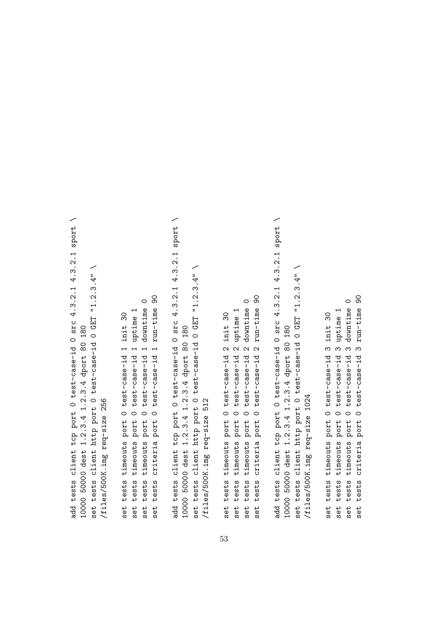add tests client tcp port 0 test-case-id 0 src 4.3.2.1 4.3.2.1 sport \ add tests client tcp port 0 test-case-id 0 src 4.3.2.1 4.3.2.1 sport \ set tests client http port 0 test-case-id 0 GET "1.2.3.4" \ set tests client http port 0 test-case-id 0 GET "1.2.3.4" \ 10000 50000 dest 1.2.3.4 1.2.3.4 dport 80 180 10000 50000 dest 1.2.3.4 1.2.3.4 dport 80 180 /files/500K.img req-size 256 /files/500K.img req-size 256

set tests criteria port 0 test-case-id 1 run-time 90 set tests criteria port 0 test-case-id 1 run-time 90 set tests timeouts port 0 test-case-id 1 downtime 0 set tests timeouts port 0 test-case-id 1 downtime 0 set tests timeouts port 0 test-case-id 1 uptime 1 set tests timeouts port 0 test-case-id 1 uptime 1 set tests timeouts port 0 test-case-id 1 init 30 set tests timeouts port 0 test-case-id 1 init 30

add tests client tcp port 0 test-case-id 0 src 4.3.2.1 4.3.2.1 sport \ add tests client tcp port O test-case-id O src 4.3.2.1 4.3.2.1 sport set tests client http port 0 test-case-id 0 GET "1.2.3.4" \ set tests client http port 0 test-case-id 0 GET "1.2.3.4" \ 10000 50000 dest 1.2.3.4 1.2.3.4 dport 80 180 10000 50000 dest 1.2.3.4 1.2.3.4 dport 80 180 files/500K.img req-size 512 /files/500K.img req-size 512

set tests criteria port 0 test-case-id 2 run-time 90 set tests criteria port 0 test-case-id 2 run-time 90 set tests timeouts port 0 test-case-id 2 downtime 0 set tests timeouts port 0 test-case-id 2 downtime 0 set tests timeouts port 0 test-case-id 2 uptime 1 set tests timeouts port 0 test-case-id 2 uptime 1 set tests timeouts port 0 test-case-id 2 init 30 set tests timeouts port 0 test-case-id 2 init 30

add tests client tcp port 0 test-case-id 0 src 4.3.2.1 4.3.2.1 sport \ add tests client tcp port 0 test-case-id 0 src 4.3.2.1 4.3.2.1 sport \ set tests client http port 0 test-case-id 0 GET "1.2.3.4" \ set tests client http port 0 test-case-id 0 GET "1.2.3.4" \ 10000 50000 dest 1.2.3.4 1.2.3.4 dport 80 180 10000 50000 dest 1.2.3.4 1.2.3.4 dport 80 180 /files/500K.img req-size 1024 /files/500K.img req-size 1024

set tests criteria port 0 test-case-id 3 run-time 90 set tests timeouts port 0 test-case-id 3 downtime 0 set tests timeouts port 0 test-case-id 3 downtime 0 set tests criteria port 0 test-case-id 3 run-time set tests timeouts port 0 test-case-id 3 uptime 1 set tests timeouts port 0 test-case-id 3 uptime 1 set tests timeouts port 0 test-case-id 3 init 30 set tests timeouts port 0 test-case-id 3 init 30

90